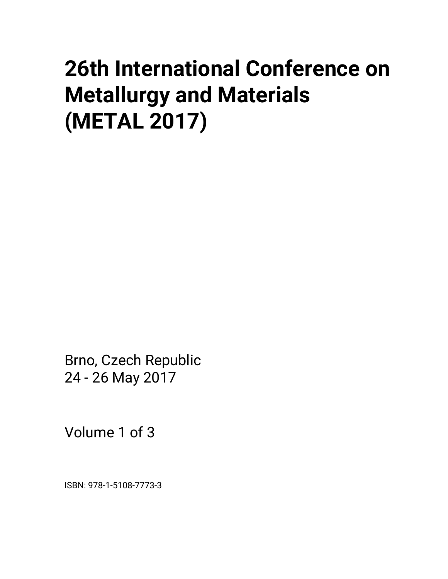## **26th International Conference on Metallurgy and Materials (METAL 2017)**

Brno, Czech Republic 24 - 26 May 2017

Volume 1 of 3

ISBN: 978-1-5108-7773-3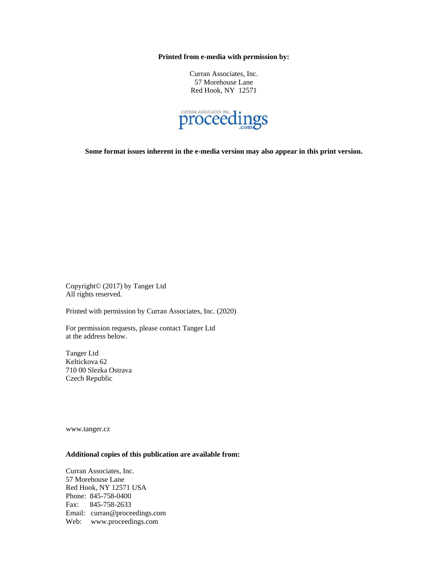**Printed from e-media with permission by:** 

Curran Associates, Inc. 57 Morehouse Lane Red Hook, NY 12571



**Some format issues inherent in the e-media version may also appear in this print version.** 

Copyright© (2017) by Tanger Ltd All rights reserved.

Printed with permission by Curran Associates, Inc. (2020)

For permission requests, please contact Tanger Ltd at the address below.

Tanger Ltd Keltickova 62 710 00 Slezka Ostrava Czech Republic

www.tanger.cz

## **Additional copies of this publication are available from:**

Curran Associates, Inc. 57 Morehouse Lane Red Hook, NY 12571 USA Phone: 845-758-0400 Fax: 845-758-2633 Email: curran@proceedings.com Web: www.proceedings.com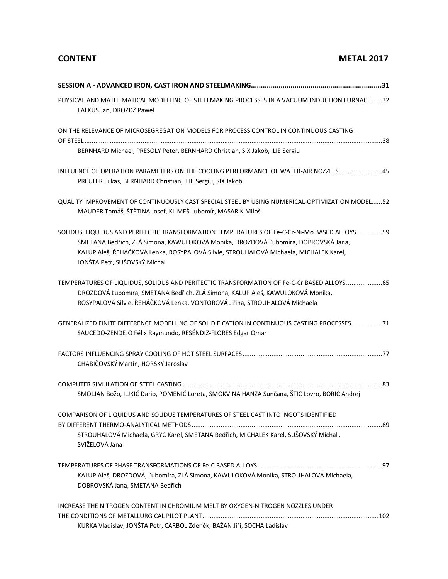## **CONTENT METAL 2017**

| PHYSICAL AND MATHEMATICAL MODELLING OF STEELMAKING PROCESSES IN A VACUUM INDUCTION FURNACE32<br>FALKUS Jan, DROŻDŻ Paweł                                                                                                                                                                                     |
|--------------------------------------------------------------------------------------------------------------------------------------------------------------------------------------------------------------------------------------------------------------------------------------------------------------|
| ON THE RELEVANCE OF MICROSEGREGATION MODELS FOR PROCESS CONTROL IN CONTINUOUS CASTING                                                                                                                                                                                                                        |
| BERNHARD Michael, PRESOLY Peter, BERNHARD Christian, SIX Jakob, ILIE Sergiu                                                                                                                                                                                                                                  |
| INFLUENCE OF OPERATION PARAMETERS ON THE COOLING PERFORMANCE OF WATER-AIR NOZZLES45<br>PREULER Lukas, BERNHARD Christian, ILIE Sergiu, SIX Jakob                                                                                                                                                             |
| QUALITY IMPROVEMENT OF CONTINUOUSLY CAST SPECIAL STEEL BY USING NUMERICAL-OPTIMIZATION MODEL52<br>MAUDER Tomáš, ŠTĚTINA Josef, KLIMEŠ Lubomír, MASARIK Miloš                                                                                                                                                 |
| SOLIDUS, LIQUIDUS AND PERITECTIC TRANSFORMATION TEMPERATURES OF Fe-C-Cr-Ni-Mo BASED ALLOYS 59<br>SMETANA Bedřich, ZLÁ Simona, KAWULOKOVÁ Monika, DROZDOVÁ Ľubomíra, DOBROVSKÁ Jana,<br>KALUP Aleš, ŘEHÁČKOVÁ Lenka, ROSYPALOVÁ Silvie, STROUHALOVÁ Michaela, MICHALEK Karel,<br>JONŠTA Petr, SUŠOVSKÝ Michal |
| TEMPERATURES OF LIQUIDUS, SOLIDUS AND PERITECTIC TRANSFORMATION OF Fe-C-Cr BASED ALLOYS 65<br>DROZDOVÁ Ľubomíra, SMETANA Bedřich, ZLÁ Simona, KALUP Aleš, KAWULOKOVÁ Monika,<br>ROSYPALOVÁ Silvie, ŘEHÁČKOVÁ Lenka, VONTOROVÁ Jiřina, STROUHALOVÁ Michaela                                                   |
| GENERALIZED FINITE DIFFERENCE MODELLING OF SOLIDIFICATION IN CONTINUOUS CASTING PROCESSES71<br>SAUCEDO-ZENDEJO Félix Raymundo, RESÉNDIZ-FLORES Edgar Omar                                                                                                                                                    |
| CHABIČOVSKÝ Martin, HORSKÝ Jaroslav                                                                                                                                                                                                                                                                          |
| SMOLJAN Božo, ILJKIĆ Dario, POMENIĆ Loreta, SMOKVINA HANZA Sunčana, ŠTIC Lovro, BORIĆ Andrej                                                                                                                                                                                                                 |
| COMPARISON OF LIQUIDUS AND SOLIDUS TEMPERATURES OF STEEL CAST INTO INGOTS IDENTIFIED<br>STROUHALOVÁ Michaela, GRYC Karel, SMETANA Bedřich, MICHALEK Karel, SUŠOVSKÝ Michal,<br>SVIŽELOVÁ Jana                                                                                                                |
| KALUP Aleš, DROZDOVÁ, Ľubomíra, ZLÁ Simona, KAWULOKOVÁ Monika, STROUHALOVÁ Michaela,<br>DOBROVSKÁ Jana, SMETANA Bedřich                                                                                                                                                                                      |
| INCREASE THE NITROGEN CONTENT IN CHROMIUM MELT BY OXYGEN-NITROGEN NOZZLES UNDER<br>KURKA Vladislav, JONŠTA Petr, CARBOL Zdeněk, BAŽAN Jiří, SOCHA Ladislav                                                                                                                                                   |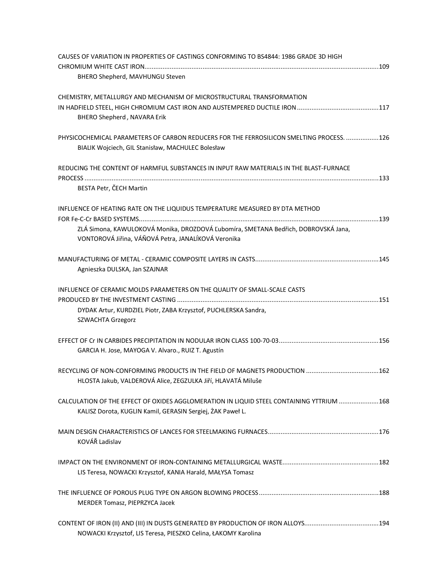| CAUSES OF VARIATION IN PROPERTIES OF CASTINGS CONFORMING TO BS4844: 1986 GRADE 3D HIGH   |  |
|------------------------------------------------------------------------------------------|--|
|                                                                                          |  |
| BHERO Shepherd, MAVHUNGU Steven                                                          |  |
|                                                                                          |  |
| CHEMISTRY, METALLURGY AND MECHANISM OF MICROSTRUCTURAL TRANSFORMATION                    |  |
|                                                                                          |  |
| BHERO Shepherd, NAVARA Erik                                                              |  |
| PHYSICOCHEMICAL PARAMETERS OF CARBON REDUCERS FOR THE FERROSILICON SMELTING PROCESS. 126 |  |
| BIALIK Wojciech, GIL Stanisław, MACHULEC Bolesław                                        |  |
|                                                                                          |  |
| REDUCING THE CONTENT OF HARMFUL SUBSTANCES IN INPUT RAW MATERIALS IN THE BLAST-FURNACE   |  |
|                                                                                          |  |
| BESTA Petr, ČECH Martin                                                                  |  |
|                                                                                          |  |
| INFLUENCE OF HEATING RATE ON THE LIQUIDUS TEMPERATURE MEASURED BY DTA METHOD             |  |
|                                                                                          |  |
| ZLÁ Simona, KAWULOKOVÁ Monika, DROZDOVÁ Ľubomíra, SMETANA Bedřich, DOBROVSKÁ Jana,       |  |
| VONTOROVÁ Jiřina, VÁŇOVÁ Petra, JANALÍKOVÁ Veronika                                      |  |
|                                                                                          |  |
| Agnieszka DULSKA, Jan SZAJNAR                                                            |  |
|                                                                                          |  |
| INFLUENCE OF CERAMIC MOLDS PARAMETERS ON THE QUALITY OF SMALL-SCALE CASTS                |  |
|                                                                                          |  |
| DYDAK Artur, KURDZIEL Piotr, ZABA Krzysztof, PUCHLERSKA Sandra,                          |  |
| <b>SZWACHTA Grzegorz</b>                                                                 |  |
|                                                                                          |  |
| GARCIA H. Jose, MAYOGA V. Alvaro., RUIZ T. Agustín                                       |  |
|                                                                                          |  |
| RECYCLING OF NON-CONFORMING PRODUCTS IN THE FIELD OF MAGNETS PRODUCTION 162              |  |
| HLOSTA Jakub, VALDEROVÁ Alice, ZEGZULKA Jiří, HLAVATÁ Miluše                             |  |
|                                                                                          |  |
| CALCULATION OF THE EFFECT OF OXIDES AGGLOMERATION IN LIQUID STEEL CONTAINING YTTRIUM 168 |  |
| KALISZ Dorota, KUGLIN Kamil, GERASIN Sergiej, ŻAK Paweł L.                               |  |
|                                                                                          |  |
| KOVÁŘ Ladislav                                                                           |  |
|                                                                                          |  |
|                                                                                          |  |
| LIS Teresa, NOWACKI Krzysztof, KANIA Harald, MAŁYSA Tomasz                               |  |
|                                                                                          |  |
|                                                                                          |  |
| MERDER Tomasz, PIEPRZYCA Jacek                                                           |  |
|                                                                                          |  |
| CONTENT OF IRON (II) AND (III) IN DUSTS GENERATED BY PRODUCTION OF IRON ALLOYS194        |  |
| NOWACKI Krzysztof, LIS Teresa, PIESZKO Celina, ŁAKOMY Karolina                           |  |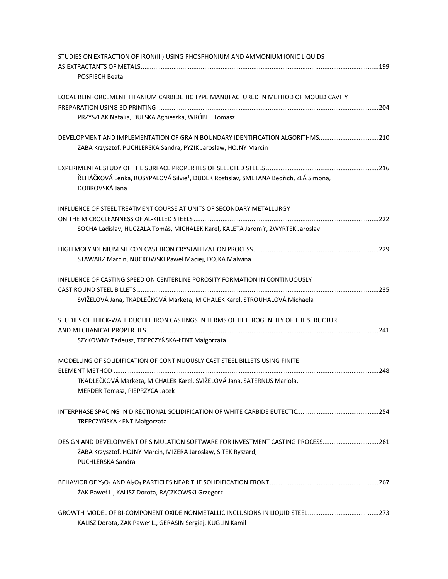| STUDIES ON EXTRACTION OF IRON(III) USING PHOSPHONIUM AND AMMONIUM IONIC LIQUIDS                 |  |
|-------------------------------------------------------------------------------------------------|--|
|                                                                                                 |  |
| <b>POSPIECH Beata</b>                                                                           |  |
| LOCAL REINFORCEMENT TITANIUM CARBIDE TIC TYPE MANUFACTURED IN METHOD OF MOULD CAVITY            |  |
|                                                                                                 |  |
| PRZYSZLAK Natalia, DULSKA Agnieszka, WRÓBEL Tomasz                                              |  |
|                                                                                                 |  |
| DEVELOPMENT AND IMPLEMENTATION OF GRAIN BOUNDARY IDENTIFICATION ALGORITHMS210                   |  |
| ZABA Krzysztof, PUCHLERSKA Sandra, PYZIK Jaroslaw, HOJNY Marcin                                 |  |
|                                                                                                 |  |
| ŘEHÁČKOVÁ Lenka, ROSYPALOVÁ Silvie <sup>1</sup> , DUDEK Rostislav, SMETANA Bedřich, ZLÁ Simona, |  |
| DOBROVSKÁ Jana                                                                                  |  |
| INFLUENCE OF STEEL TREATMENT COURSE AT UNITS OF SECONDARY METALLURGY                            |  |
|                                                                                                 |  |
| SOCHA Ladislav, HUCZALA Tomáš, MICHALEK Karel, KALETA Jaromír, ZWYRTEK Jaroslav                 |  |
|                                                                                                 |  |
|                                                                                                 |  |
| STAWARZ Marcin, NUCKOWSKI Paweł Maciej, DOJKA Malwina                                           |  |
| INFLUENCE OF CASTING SPEED ON CENTERLINE POROSITY FORMATION IN CONTINUOUSLY                     |  |
|                                                                                                 |  |
| SVIŽELOVÁ Jana, TKADLEČKOVÁ Markéta, MICHALEK Karel, STROUHALOVÁ Michaela                       |  |
| STUDIES OF THICK-WALL DUCTILE IRON CASTINGS IN TERMS OF HETEROGENEITY OF THE STRUCTURE          |  |
|                                                                                                 |  |
| SZYKOWNY Tadeusz, TREPCZYŃSKA-ŁENT Małgorzata                                                   |  |
| MODELLING OF SOLIDIFICATION OF CONTINUOUSLY CAST STEEL BILLETS USING FINITE                     |  |
|                                                                                                 |  |
| TKADLEČKOVÁ Markéta, MICHALEK Karel, SVIŽELOVÁ Jana, SATERNUS Mariola,                          |  |
| MERDER Tomasz, PIEPRZYCA Jacek                                                                  |  |
|                                                                                                 |  |
| TREPCZYŃSKA-ŁENT Małgorzata                                                                     |  |
|                                                                                                 |  |
| DESIGN AND DEVELOPMENT OF SIMULATION SOFTWARE FOR INVESTMENT CASTING PROCESS261                 |  |
| ŻABA Krzysztof, HOJNY Marcin, MIZERA Jarosław, SITEK Ryszard,                                   |  |
| PUCHLERSKA Sandra                                                                               |  |
|                                                                                                 |  |
| ŻAK Paweł L., KALISZ Dorota, RĄCZKOWSKI Grzegorz                                                |  |
|                                                                                                 |  |
| GROWTH MODEL OF BI-COMPONENT OXIDE NONMETALLIC INCLUSIONS IN LIQUID STEEL273                    |  |
| KALISZ Dorota, ŻAK Paweł L., GERASIN Sergiej, KUGLIN Kamil                                      |  |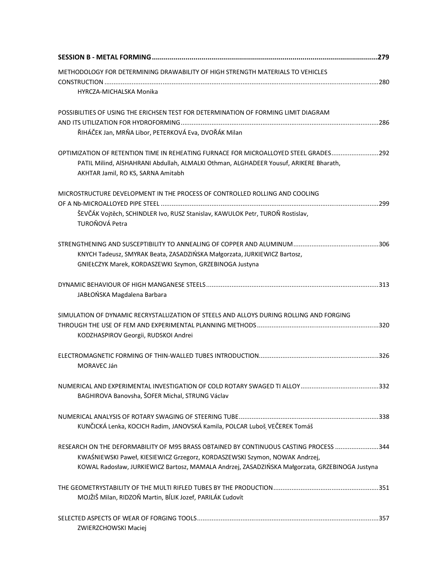| METHODOLOGY FOR DETERMINING DRAWABILITY OF HIGH STRENGTH MATERIALS TO VEHICLES                  |  |
|-------------------------------------------------------------------------------------------------|--|
|                                                                                                 |  |
| HYRCZA-MICHALSKA Monika                                                                         |  |
| POSSIBILITIES OF USING THE ERICHSEN TEST FOR DETERMINATION OF FORMING LIMIT DIAGRAM             |  |
|                                                                                                 |  |
| ŘIHÁČEK Jan, MRŇA Libor, PETERKOVÁ Eva, DVOŘÁK Milan                                            |  |
| OPTIMIZATION OF RETENTION TIME IN REHEATING FURNACE FOR MICROALLOYED STEEL GRADES292            |  |
| PATIL Milind, AISHAHRANI Abdullah, ALMALKI Othman, ALGHADEER Yousuf, ARIKERE Bharath,           |  |
| AKHTAR Jamil, RO KS, SARNA Amitabh                                                              |  |
| MICROSTRUCTURE DEVELOPMENT IN THE PROCESS OF CONTROLLED ROLLING AND COOLING                     |  |
|                                                                                                 |  |
| ŠEVČÁK Vojtěch, SCHINDLER Ivo, RUSZ Stanislav, KAWULOK Petr, TUROŇ Rostislav,<br>TUROŇOVÁ Petra |  |
|                                                                                                 |  |
| KNYCH Tadeusz, SMYRAK Beata, ZASADZIŃSKA Małgorzata, JURKIEWICZ Bartosz,                        |  |
| GNIEŁCZYK Marek, KORDASZEWKI Szymon, GRZEBINOGA Justyna                                         |  |
|                                                                                                 |  |
| JABŁOŃSKA Magdalena Barbara                                                                     |  |
| SIMULATION OF DYNAMIC RECRYSTALLIZATION OF STEELS AND ALLOYS DURING ROLLING AND FORGING         |  |
|                                                                                                 |  |
| KODZHASPIROV Georgii, RUDSKOI Andrei                                                            |  |
|                                                                                                 |  |
| <b>MORAVEC Ján</b>                                                                              |  |
|                                                                                                 |  |
| BAGHIROVA Banovsha, ŠOFER Michal, STRUNG Václav                                                 |  |
|                                                                                                 |  |
| KUNČICKÁ Lenka, KOCICH Radim, JANOVSKÁ Kamila, POLCAR Luboš, VEČEREK Tomáš                      |  |
| RESEARCH ON THE DEFORMABILITY OF M95 BRASS OBTAINED BY CONTINUOUS CASTING PROCESS 344           |  |
| KWAŚNIEWSKI Paweł, KIESIEWICZ Grzegorz, KORDASZEWSKI Szymon, NOWAK Andrzej,                     |  |
| KOWAL Radosław, JURKIEWICZ Bartosz, MAMALA Andrzej, ZASADZIŃSKA Małgorzata, GRZEBINOGA Justyna  |  |
|                                                                                                 |  |
| MOJŽIŠ Milan, RIDZOŇ Martin, BÍLIK Jozef, PARILÁK Ľudovít                                       |  |
|                                                                                                 |  |
| ZWIERZCHOWSKI Maciej                                                                            |  |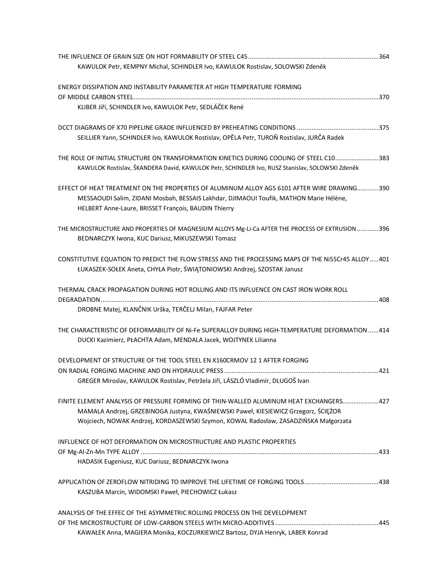| KAWULOK Petr, KEMPNY Michal, SCHINDLER Ivo, KAWULOK Rostislav, SOLOWSKI Zdeněk                                                                                    |  |
|-------------------------------------------------------------------------------------------------------------------------------------------------------------------|--|
| ENERGY DISSIPATION AND INSTABILITY PARAMETER AT HIGH TEMPERATURE FORMING                                                                                          |  |
|                                                                                                                                                                   |  |
| KLIBER JIří, SCHINDLER Ivo, KAWULOK Petr, SEDLÁČEK René                                                                                                           |  |
|                                                                                                                                                                   |  |
| SEILLIER Yann, SCHINDLER Ivo, KAWULOK Rostislav, OPĚLA Petr, TUROŇ Rostislav, JURČA Radek                                                                         |  |
| THE ROLE OF INITIAL STRUCTURE ON TRANSFORMATION KINETICS DURING COOLING OF STEEL C10383                                                                           |  |
| KAWULOK Rostislav, ŠKANDERA David, KAWULOK Petr, SCHINDLER Ivo, RUSZ Stanislav, SOLOWSKI Zdeněk                                                                   |  |
| EFFECT OF HEAT TREATMENT ON THE PROPERTIES OF ALUMINUM ALLOY AGS 6101 AFTER WIRE DRAWING390                                                                       |  |
| MESSAOUDI Salim, ZIDANI Mosbah, BESSAIS Lakhdar, DJIMAOUI Toufik, MATHON Marie Hélène,<br>HELBERT Anne-Laure, BRISSET François, BAUDIN Thierry                    |  |
| THE MICROSTRUCTURE AND PROPERTIES OF MAGNESIUM ALLOYS Mg-Li-Ca AFTER THE PROCESS OF EXTRUSION 396                                                                 |  |
| BEDNARCZYK Iwona, KUC Dariusz, MIKUSZEWSKI Tomasz                                                                                                                 |  |
| CONSTITUTIVE EQUATION TO PREDICT THE FLOW STRESS AND THE PROCESSING MAPS OF THE NI55Cr45 ALLOY401                                                                 |  |
| ŁUKASZEK-SOŁEK Aneta, CHYŁA Piotr, ŚWIĄTONIOWSKI Andrzej, SZOSTAK Janusz                                                                                          |  |
| THERMAL CRACK PROPAGATION DURING HOT ROLLING AND ITS INFLUENCE ON CAST IRON WORK ROLL                                                                             |  |
| DROBNE Matej, KLANČNIK Urška, TERČELJ Milan, FAJFAR Peter                                                                                                         |  |
|                                                                                                                                                                   |  |
| THE CHARACTERISTIC OF DEFORMABILITY OF Ni-Fe SUPERALLOY DURING HIGH-TEMPERATURE DEFORMATION414<br>DUCKI Kazimierz, PŁACHTA Adam, MENDALA Jacek, WOJTYNEK Lilianna |  |
|                                                                                                                                                                   |  |
| DEVELOPMENT OF STRUCTURE OF THE TOOL STEEL EN X160CRMOV 12 1 AFTER FORGING                                                                                        |  |
| GREGER Miroslav, KAWULOK Rostislav, Petržela Jiří, LÁSZLÓ Vladimír, DLUGOŠ Ivan                                                                                   |  |
|                                                                                                                                                                   |  |
| FINITE ELEMENT ANALYSIS OF PRESSURE FORMING OF THIN-WALLED ALUMINUM HEAT EXCHANGERS427                                                                            |  |
| MAMALA Andrzej, GRZEBINOGA Justyna, KWAŚNIEWSKI Paweł, KIESIEWICZ Grzegorz, ŚCIĘŻOR                                                                               |  |
| Wojciech, NOWAK Andrzej, KORDASZEWSKI Szymon, KOWAL Radosław, ZASADZIŃSKA Małgorzata                                                                              |  |
| <b>INFLUENCE OF HOT DEFORMATION ON MICROSTRUCTURE AND PLASTIC PROPERTIES</b>                                                                                      |  |
|                                                                                                                                                                   |  |
| HADASIK Eugeniusz, KUC Dariusz, BEDNARCZYK Iwona                                                                                                                  |  |
|                                                                                                                                                                   |  |
| KASZUBA Marcin, WIDOMSKI Paweł, PIECHOWICZ Łukasz                                                                                                                 |  |
| ANALYSIS OF THE EFFEC OF THE ASYMMETRIC ROLLING PROCESS ON THE DEVELOPMENT                                                                                        |  |
|                                                                                                                                                                   |  |
| KAWAŁEK Anna, MAGIERA Monika, KOCZURKIEWICZ Bartosz, DYJA Henryk, LABER Konrad                                                                                    |  |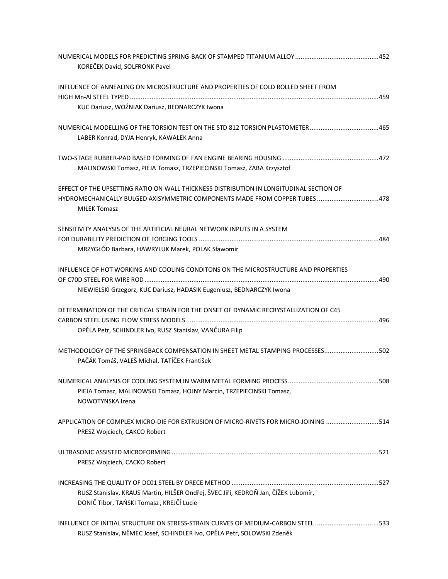| KOREČEK David, SOLFRONK Pavel                                                                                                                                                                 |  |
|-----------------------------------------------------------------------------------------------------------------------------------------------------------------------------------------------|--|
| INFLUENCE OF ANNEALING ON MICROSTRUCTURE AND PROPERTIES OF COLD ROLLED SHEET FROM<br>KUC Dariusz, WOŹNIAK Dariusz, BEDNARCZYK Iwona                                                           |  |
| NUMERICAL MODELLING OF THE TORSION TEST ON THE STD 812 TORSION PLASTOMETER465<br>LABER Konrad, DYJA Henryk, KAWAŁEK Anna                                                                      |  |
| MALINOWSKI Tomasz, PIEJA Tomasz, TRZEPIECINSKI Tomasz, ZABA Krzysztof                                                                                                                         |  |
| EFFECT OF THE UPSETTING RATIO ON WALL THICKNESS DISTRIBUTION IN LONGITUDINAL SECTION OF<br>HYDROMECHANICALLY BULGED AXISYMMETRIC COMPONENTS MADE FROM COPPER TUBES 478<br><b>MIŁEK Tomasz</b> |  |
| SENSITIVITY ANALYSIS OF THE ARTIFICIAL NEURAL NETWORK INPUTS IN A SYSTEM<br>MRZYGŁÓD Barbara, HAWRYLUK Marek, POLAK Sławomir                                                                  |  |
| INFLUENCE OF HOT WORKING AND COOLING CONDITONS ON THE MICROSTRUCTURE AND PROPERTIES<br>NIEWIELSKI Grzegorz, KUC Dariusz, HADASIK Eugeniusz, BEDNARCZYK Iwona                                  |  |
| DETERMINATION OF THE CRITICAL STRAIN FOR THE ONSET OF DYNAMIC RECRYSTALLIZATION OF C45<br>OPĚLA Petr, SCHINDLER Ivo, RUSZ Stanislav, VANČURA Filip                                            |  |
| METHODOLOGY OF THE SPRINGBACK COMPENSATION IN SHEET METAL STAMPING PROCESSES502<br>PAČÁK Tomáš, VALEŠ Michal, TATÍČEK František                                                               |  |
| PIEJA Tomasz, MALINOWSKI Tomasz, HOJNY Marcin, TRZEPIECINSKI Tomasz,<br>NOWOTYNSKA Irena                                                                                                      |  |
| APPLICATION OF COMPLEX MICRO-DIE FOR EXTRUSION OF MICRO-RIVETS FOR MICRO-JOINING 514<br>PRESZ Wojciech, CAKCO Robert                                                                          |  |
| PRESZ Wojciech, CACKO Robert                                                                                                                                                                  |  |
| RUSZ Stanislav, KRAUS Martin, HILŠER Ondřej, ŠVEC Jiří, KEDROŇ Jan, ČÍŽEK Lubomír,<br>DONIČ Tibor, TAŃSKI Tomasz, KREJČÍ Lucie                                                                |  |
| INFLUENCE OF INITIAL STRUCTURE ON STRESS-STRAIN CURVES OF MEDIUM-CARBON STEEL 533<br>RUSZ Stanislav, NĚMEC Josef, SCHINDLER Ivo, OPĚLA Petr, SOLOWSKI Zdeněk                                  |  |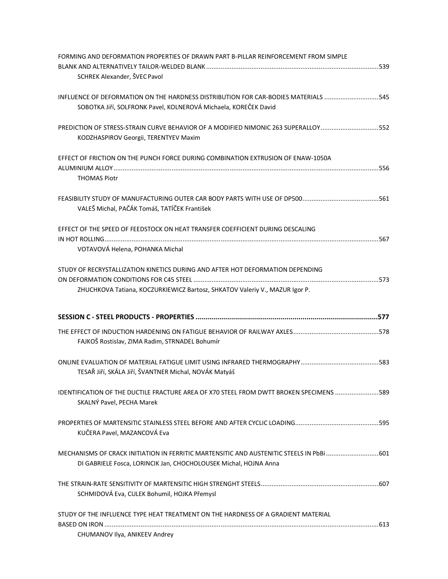| SCHREK Alexander, ŠVEC Pavol                                                            |  |
|-----------------------------------------------------------------------------------------|--|
|                                                                                         |  |
| INFLUENCE OF DEFORMATION ON THE HARDNESS DISTRIBUTION FOR CAR-BODIES MATERIALS 545      |  |
| SOBOTKA Jiří, SOLFRONK Pavel, KOLNEROVÁ Michaela, KOREČEK David                         |  |
|                                                                                         |  |
| PREDICTION OF STRESS-STRAIN CURVE BEHAVIOR OF A MODIFIED NIMONIC 263 SUPERALLOY552      |  |
| KODZHASPIROV Georgii, TERENTYEV Maxim                                                   |  |
|                                                                                         |  |
| EFFECT OF FRICTION ON THE PUNCH FORCE DURING COMBINATION EXTRUSION OF ENAW-1050A        |  |
|                                                                                         |  |
| <b>THOMAS Piotr</b>                                                                     |  |
|                                                                                         |  |
|                                                                                         |  |
| VALEŠ Michal, PAČÁK Tomáš, TATÍČEK František                                            |  |
|                                                                                         |  |
| EFFECT OF THE SPEED OF FEEDSTOCK ON HEAT TRANSFER COEFFICIENT DURING DESCALING          |  |
|                                                                                         |  |
| VOTAVOVÁ Helena, POHANKA Michal                                                         |  |
|                                                                                         |  |
| STUDY OF RECRYSTALLIZATION KINETICS DURING AND AFTER HOT DEFORMATION DEPENDING          |  |
|                                                                                         |  |
| ZHUCHKOVA Tatiana, KOCZURKIEWICZ Bartosz, SHKATOV Valeriy V., MAZUR Igor P.             |  |
|                                                                                         |  |
|                                                                                         |  |
|                                                                                         |  |
|                                                                                         |  |
|                                                                                         |  |
| FAJKOŠ Rostislav, ZIMA Radim, STRNADEL Bohumír                                          |  |
|                                                                                         |  |
|                                                                                         |  |
| TESAŘ JIří, SKÁLA JIří, ŠVANTNER Michal, NOVÁK Matyáš                                   |  |
|                                                                                         |  |
| IDENTIFICATION OF THE DUCTILE FRACTURE AREA OF X70 STEEL FROM DWTT BROKEN SPECIMENS 589 |  |
| SKALNÝ Pavel, PECHA Marek                                                               |  |
|                                                                                         |  |
|                                                                                         |  |
| KUČERA Pavel, MAZANCOVÁ Eva                                                             |  |
|                                                                                         |  |
|                                                                                         |  |
| DI GABRIELE Fosca, LORINCIK Jan, CHOCHOLOUSEK Michal, HOJNA Anna                        |  |
|                                                                                         |  |
|                                                                                         |  |
| SCHMIDOVÁ Eva, CULEK Bohumil, HOJKA Přemysl                                             |  |
|                                                                                         |  |
| STUDY OF THE INFLUENCE TYPE HEAT TREATMENT ON THE HARDNESS OF A GRADIENT MATERIAL       |  |
|                                                                                         |  |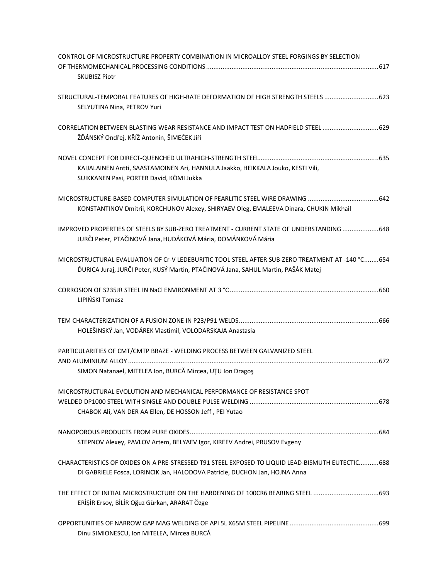| CONTROL OF MICROSTRUCTURE-PROPERTY COMBINATION IN MICROALLOY STEEL FORGINGS BY SELECTION<br><b>SKUBISZ Piotr</b>                                                                       |
|----------------------------------------------------------------------------------------------------------------------------------------------------------------------------------------|
| STRUCTURAL-TEMPORAL FEATURES OF HIGH-RATE DEFORMATION OF HIGH STRENGTH STEELS  623<br>SELYUTINA Nina, PETROV Yuri                                                                      |
| CORRELATION BETWEEN BLASTING WEAR RESISTANCE AND IMPACT TEST ON HADFIELD STEEL 629<br>ŽĎÁNSKÝ Ondřej, KŘÍŽ Antonín, ŠIMEČEK Jiří                                                       |
| KAIJALAINEN Antti, SAASTAMOINEN Ari, HANNULA Jaakko, HEIKKALA Jouko, KESTI Vili,<br>SUIKKANEN Pasi, PORTER David, KÖMI Jukka                                                           |
| KONSTANTINOV Dmitrii, KORCHUNOV Alexey, SHIRYAEV Oleg, EMALEEVA Dinara, CHUKIN Mikhail                                                                                                 |
| IMPROVED PROPERTIES OF STEELS BY SUB-ZERO TREATMENT - CURRENT STATE OF UNDERSTANDING 648<br>JURČI Peter, PTAČINOVÁ Jana, HUDÁKOVÁ Mária, DOMÁNKOVÁ Mária                               |
| MICROSTRUCTURAL EVALUATION OF Cr-V LEDEBURITIC TOOL STEEL AFTER SUB-ZERO TREATMENT AT -140 °C 654<br>ĎURICA Juraj, JURČI Peter, KUSÝ Martin, PTAČINOVÁ Jana, SAHUL Martin, PAŠÁK Matej |
| LIPIŃSKI Tomasz                                                                                                                                                                        |
| HOLEŠINSKÝ Jan, VODÁREK Vlastimil, VOLODARSKAJA Anastasia                                                                                                                              |
| PARTICULARITIES OF CMT/CMTP BRAZE - WELDING PROCESS BETWEEN GALVANIZED STEEL<br>SIMON Natanael, MITELEA Ion, BURCĂ Mircea, UȚU Ion Dragoș                                              |
| MICROSTRUCTURAL EVOLUTION AND MECHANICAL PERFORMANCE OF RESISTANCE SPOT<br>CHABOK Ali, VAN DER AA Ellen, DE HOSSON Jeff, PEI Yutao                                                     |
| STEPNOV Alexey, PAVLOV Artem, BELYAEV Igor, KIREEV Andrei, PRUSOV Evgeny                                                                                                               |
| CHARACTERISTICS OF OXIDES ON A PRE-STRESSED T91 STEEL EXPOSED TO LIQUID LEAD-BISMUTH EUTECTIC688<br>DI GABRIELE Fosca, LORINCIK Jan, HALODOVA Patricie, DUCHON Jan, HOJNA Anna         |
| ERİŞİR Ersoy, BİLİR Oğuz Gürkan, ARARAT Özge                                                                                                                                           |
| Dinu SIMIONESCU, Ion MITELEA, Mircea BURCĂ                                                                                                                                             |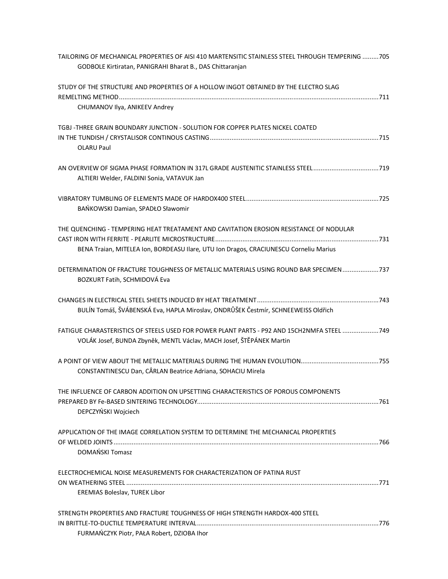| TAILORING OF MECHANICAL PROPERTIES OF AISI 410 MARTENSITIC STAINLESS STEEL THROUGH TEMPERING 705<br>GODBOLE Kirtiratan, PANIGRAHI Bharat B., DAS Chittaranjan |  |
|---------------------------------------------------------------------------------------------------------------------------------------------------------------|--|
| STUDY OF THE STRUCTURE AND PROPERTIES OF A HOLLOW INGOT OBTAINED BY THE ELECTRO SLAG                                                                          |  |
|                                                                                                                                                               |  |
| CHUMANOV Ilya, ANIKEEV Andrey                                                                                                                                 |  |
| TGBJ -THREE GRAIN BOUNDARY JUNCTION - SOLUTION FOR COPPER PLATES NICKEL COATED                                                                                |  |
|                                                                                                                                                               |  |
| <b>OLARU Paul</b>                                                                                                                                             |  |
| AN OVERVIEW OF SIGMA PHASE FORMATION IN 317L GRADE AUSTENITIC STAINLESS STEEL719                                                                              |  |
| ALTIERI Welder, FALDINI Sonia, VATAVUK Jan                                                                                                                    |  |
|                                                                                                                                                               |  |
|                                                                                                                                                               |  |
| BAŃKOWSKI Damian, SPADŁO Sławomir                                                                                                                             |  |
|                                                                                                                                                               |  |
| THE QUENCHING - TEMPERING HEAT TREATAMENT AND CAVITATION EROSION RESISTANCE OF NODULAR                                                                        |  |
|                                                                                                                                                               |  |
| BENA Traian, MITELEA Ion, BORDEASU Ilare, UTU Ion Dragos, CRACIUNESCU Corneliu Marius                                                                         |  |
| DETERMINATION OF FRACTURE TOUGHNESS OF METALLIC MATERIALS USING ROUND BAR SPECIMEN 737<br>BOZKURT Fatih, SCHMIDOVÁ Eva                                        |  |
|                                                                                                                                                               |  |
| BULÍN Tomáš, ŠVÁBENSKÁ Eva, HAPLA Miroslav, ONDRŮŠEK Čestmír, SCHNEEWEISS Oldřich                                                                             |  |
|                                                                                                                                                               |  |
| FATIGUE CHARASTERISTICS OF STEELS USED FOR POWER PLANT PARTS - P92 AND 15CH2NMFA STEEL 749                                                                    |  |
| VOLÁK Josef, BUNDA Zbyněk, MENTL Václav, MACH Josef, ŠTĚPÁNEK Martin                                                                                          |  |
|                                                                                                                                                               |  |
|                                                                                                                                                               |  |
| CONSTANTINESCU Dan, CÂRLAN Beatrice Adriana, SOHACIU Mirela                                                                                                   |  |
| THE INFLUENCE OF CARBON ADDITION ON UPSETTING CHARACTERISTICS OF POROUS COMPONENTS                                                                            |  |
|                                                                                                                                                               |  |
| DEPCZYŃSKI Wojciech                                                                                                                                           |  |
|                                                                                                                                                               |  |
| APPLICATION OF THE IMAGE CORRELATION SYSTEM TO DETERMINE THE MECHANICAL PROPERTIES                                                                            |  |
|                                                                                                                                                               |  |
| DOMAŃSKI Tomasz                                                                                                                                               |  |
|                                                                                                                                                               |  |
| ELECTROCHEMICAL NOISE MEASUREMENTS FOR CHARACTERIZATION OF PATINA RUST                                                                                        |  |
| EREMIAS Boleslav, TUREK Libor                                                                                                                                 |  |
|                                                                                                                                                               |  |
| STRENGTH PROPERTIES AND FRACTURE TOUGHNESS OF HIGH STRENGTH HARDOX-400 STEEL                                                                                  |  |
|                                                                                                                                                               |  |
| FURMAŃCZYK Piotr, PAŁA Robert, DZIOBA Ihor                                                                                                                    |  |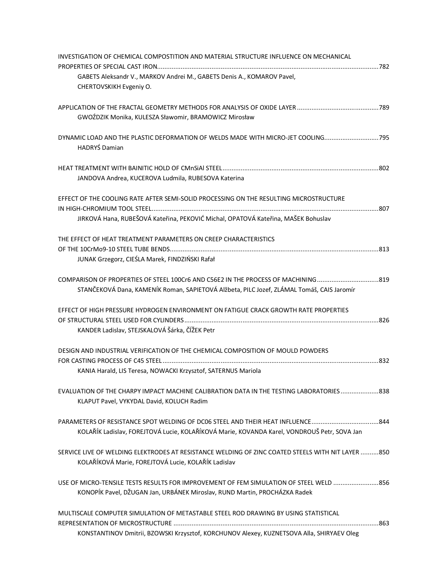| INVESTIGATION OF CHEMICAL COMPOSTITION AND MATERIAL STRUCTURE INFLUENCE ON MECHANICAL                    |  |
|----------------------------------------------------------------------------------------------------------|--|
|                                                                                                          |  |
| GABETS Aleksandr V., MARKOV Andrei M., GABETS Denis A., KOMAROV Pavel,                                   |  |
| CHERTOVSKIKH Evgeniy O.                                                                                  |  |
|                                                                                                          |  |
| GWOŹDZIK Monika, KULESZA Sławomir, BRAMOWICZ Mirosław                                                    |  |
|                                                                                                          |  |
| DYNAMIC LOAD AND THE PLASTIC DEFORMATION OF WELDS MADE WITH MICRO-JET COOLING795<br><b>HADRYŚ Damian</b> |  |
|                                                                                                          |  |
| JANDOVA Andrea, KUCEROVA Ludmila, RUBESOVA Katerina                                                      |  |
| EFFECT OF THE COOLING RATE AFTER SEMI-SOLID PROCESSING ON THE RESULTING MICROSTRUCTURE                   |  |
|                                                                                                          |  |
| JIRKOVÁ Hana, RUBEŠOVÁ Kateřina, PEKOVIĆ Michal, OPATOVÁ Kateřina, MAŠEK Bohuslav                        |  |
| THE EFFECT OF HEAT TREATMENT PARAMETERS ON CREEP CHARACTERISTICS                                         |  |
|                                                                                                          |  |
| JUNAK Grzegorz, CIEŚLA Marek, FINDZIŃSKI Rafał                                                           |  |
| COMPARISON OF PROPERTIES OF STEEL 100Cr6 AND C56E2 IN THE PROCESS OF MACHINING819                        |  |
| STANČEKOVÁ Dana, KAMENÍK Roman, SAPIETOVÁ Alžbeta, PILC Jozef, ZLÁMAL Tomáš, CAIS Jaromír                |  |
| EFFECT OF HIGH PRESSURE HYDROGEN ENVIRONMENT ON FATIGUE CRACK GROWTH RATE PROPERTIES                     |  |
|                                                                                                          |  |
| KANDER Ladislav, STEJSKALOVÁ Šárka, ČÍŽEK Petr                                                           |  |
| DESIGN AND INDUSTRIAL VERIFICATION OF THE CHEMICAL COMPOSITION OF MOULD POWDERS                          |  |
|                                                                                                          |  |
| KANIA Harald, LIS Teresa, NOWACKI Krzysztof, SATERNUS Mariola                                            |  |
| EVALUATION OF THE CHARPY IMPACT MACHINE CALIBRATION DATA IN THE TESTING LABORATORIES838                  |  |
| KLAPUT Pavel, VYKYDAL David, KOLUCH Radim                                                                |  |
| PARAMETERS OF RESISTANCE SPOT WELDING OF DC06 STEEL AND THEIR HEAT INFLUENCE844                          |  |
| KOLAŘÍK Ladislav, FOREJTOVÁ Lucie, KOLAŘÍKOVÁ Marie, KOVANDA Karel, VONDROUŠ Petr, SOVA Jan              |  |
| SERVICE LIVE OF WELDING ELEKTRODES AT RESISTANCE WELDING OF ZINC COATED STEELS WITH NIT LAYER 850        |  |
| KOLAŘÍKOVÁ Marie, FOREJTOVÁ Lucie, KOLAŘÍK Ladislav                                                      |  |
|                                                                                                          |  |
| USE OF MICRO-TENSILE TESTS RESULTS FOR IMPROVEMENT OF FEM SIMULATION OF STEEL WELD 856                   |  |
| KONOPÍK Pavel, DŽUGAN Jan, URBÁNEK Miroslav, RUND Martin, PROCHÁZKA Radek                                |  |
| MULTISCALE COMPUTER SIMULATION OF METASTABLE STEEL ROD DRAWING BY USING STATISTICAL                      |  |
|                                                                                                          |  |
| KONSTANTINOV Dmitrii, BZOWSKI Krzysztof, KORCHUNOV Alexey, KUZNETSOVA Alla, SHIRYAEV Oleg                |  |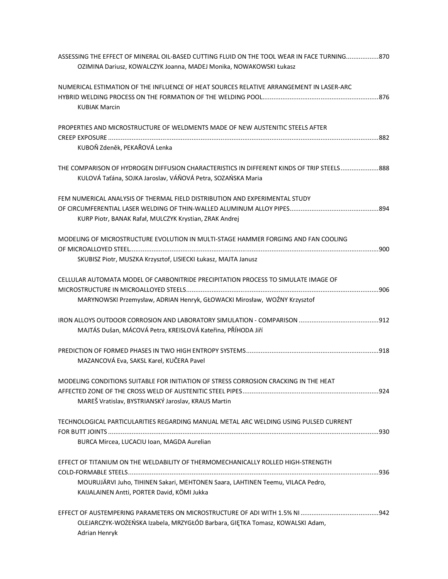| ASSESSING THE EFFECT OF MINERAL OIL-BASED CUTTING FLUID ON THE TOOL WEAR IN FACE TURNING870<br>OZIMINA Dariusz, KOWALCZYK Joanna, MADEJ Monika, NOWAKOWSKI Łukasz |  |
|-------------------------------------------------------------------------------------------------------------------------------------------------------------------|--|
| NUMERICAL ESTIMATION OF THE INFLUENCE OF HEAT SOURCES RELATIVE ARRANGEMENT IN LASER-ARC                                                                           |  |
| <b>KUBIAK Marcin</b>                                                                                                                                              |  |
| PROPERTIES AND MICROSTRUCTURE OF WELDMENTS MADE OF NEW AUSTENITIC STEELS AFTER                                                                                    |  |
| KUBOŇ Zdeněk, PEKAŘOVÁ Lenka                                                                                                                                      |  |
| THE COMPARISON OF HYDROGEN DIFFUSION CHARACTERISTICS IN DIFFERENT KINDS OF TRIP STEELS888<br>KULOVÁ Taťána, SOJKA Jaroslav, VÁŇOVÁ Petra, SOZAŃSKA Maria          |  |
| FEM NUMERICAL ANALYSIS OF THERMAL FIELD DISTRIBUTION AND EXPERIMENTAL STUDY                                                                                       |  |
| KURP Piotr, BANAK Rafał, MULCZYK Krystian, ZRAK Andrej                                                                                                            |  |
| MODELING OF MICROSTRUCTURE EVOLUTION IN MULTI-STAGE HAMMER FORGING AND FAN COOLING                                                                                |  |
| SKUBISZ Piotr, MUSZKA Krzysztof, LISIECKI Łukasz, MAJTA Janusz                                                                                                    |  |
| CELLULAR AUTOMATA MODEL OF CARBONITRIDE PRECIPITATION PROCESS TO SIMULATE IMAGE OF                                                                                |  |
| MARYNOWSKI Przemysław, ADRIAN Henryk, GŁOWACKI Mirosław, WOŹNY Krzysztof                                                                                          |  |
|                                                                                                                                                                   |  |
| MAJTÁS Dušan, MÁCOVÁ Petra, KREISLOVÁ Kateřina, PŘÍHODA Jiří                                                                                                      |  |
|                                                                                                                                                                   |  |
| MAZANCOVÁ Eva, SAKSL Karel, KUČERA Pavel                                                                                                                          |  |
| MODELING CONDITIONS SUITABLE FOR INITIATION OF STRESS CORROSION CRACKING IN THE HEAT                                                                              |  |
| MAREŠ Vratislav, BYSTRIANSKÝ Jaroslav, KRAUS Martin                                                                                                               |  |
| TECHNOLOGICAL PARTICULARITIES REGARDING MANUAL METAL ARC WELDING USING PULSED CURRENT                                                                             |  |
| BURCA Mircea, LUCACIU Ioan, MAGDA Aurelian                                                                                                                        |  |
| EFFECT OF TITANIUM ON THE WELDABILITY OF THERMOMECHANICALLY ROLLED HIGH-STRENGTH                                                                                  |  |
| MOURUJÄRVI Juho, TIHINEN Sakari, MEHTONEN Saara, LAHTINEN Teemu, VILACA Pedro,<br>KAIJALAINEN Antti, PORTER David, KÖMI Jukka                                     |  |
|                                                                                                                                                                   |  |
| OLEJARCZYK-WOŻEŃSKA Izabela, MRZYGŁÓD Barbara, GIĘTKA Tomasz, KOWALSKI Adam,<br>Adrian Henryk                                                                     |  |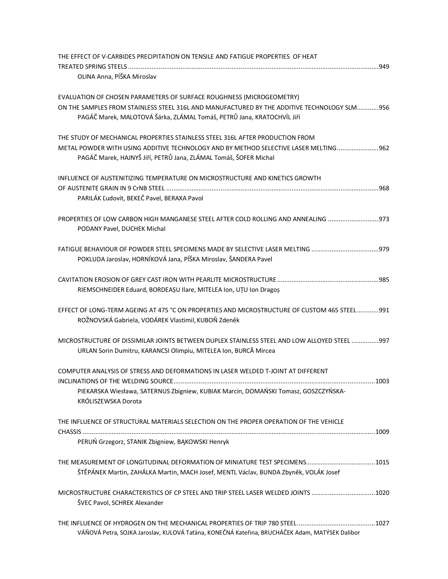| THE EFFECT OF V-CARBIDES PRECIPITATION ON TENSILE AND FATIGUE PROPERTIES OF HEAT                                                                                                                                                              |  |
|-----------------------------------------------------------------------------------------------------------------------------------------------------------------------------------------------------------------------------------------------|--|
| OLINA Anna, PÍŠKA Miroslav                                                                                                                                                                                                                    |  |
| EVALUATION OF CHOSEN PARAMETERS OF SURFACE ROUGHNESS (MICROGEOMETRY)<br>ON THE SAMPLES FROM STAINLESS STEEL 316L AND MANUFACTURED BY THE ADDITIVE TECHNOLOGY SLM956<br>PAGÁČ Marek, MALOTOVÁ Šárka, ZLÁMAL Tomáš, PETRŮ Jana, KRATOCHVÍL Jiří |  |
| THE STUDY OF MECHANICAL PROPERTIES STAINLESS STEEL 316L AFTER PRODUCTION FROM<br>METAL POWDER WITH USING ADDITIVE TECHNOLOGY AND BY METHOD SELECTIVE LASER MELTING962<br>PAGÁČ Marek, HAJNYŠ Jiří, PETRŮ Jana, ZLÁMAL Tomáš, ŠOFER Michal     |  |
| INFLUENCE OF AUSTENITIZING TEMPERATURE ON MICROSTRUCTURE AND KINETICS GROWTH<br>PARILÁK Ľudovít, BEKEČ Pavel, BERAXA Pavol                                                                                                                    |  |
| PROPERTIES OF LOW CARBON HIGH MANGANESE STEEL AFTER COLD ROLLING AND ANNEALING 973<br>PODANY Pavel, DUCHEK Michal                                                                                                                             |  |
| FATIGUE BEHAVIOUR OF POWDER STEEL SPECIMENS MADE BY SELECTIVE LASER MELTING 979<br>POKLUDA Jaroslav, HORNÍKOVÁ Jana, PÍŠKA Miroslav, ŠANDERA Pavel                                                                                            |  |
| RIEMSCHNEIDER Eduard, BORDEAȘU Ilare, MITELEA Ion, UȚU Ion Dragoș                                                                                                                                                                             |  |
| EFFECT OF LONG-TERM AGEING AT 475 °C ON PROPERTIES AND MICROSTRUCTURE OF CUSTOM 465 STEEL991<br>ROŽNOVSKÁ Gabriela, VODÁREK Vlastimil, KUBOŇ Zdeněk                                                                                           |  |
| MICROSTRUCTURE OF DISSIMILAR JOINTS BETWEEN DUPLEX STAINLESS STEEL AND LOW ALLOYED STEEL 997<br>URLAN Sorin Dumitru, KARANCSI Olimpiu, MITELEA Ion, BURCĂ Mircea                                                                              |  |
| COMPUTER ANALYSIS OF STRESS AND DEFORMATIONS IN LASER WELDED T-JOINT AT DIFFERENT<br>PIEKARSKA Wiesława, SATERNUS Zbigniew, KUBIAK Marcin, DOMAŃSKI Tomasz, GOSZCZYŃSKA-<br>KRÓLISZEWSKA Dorota                                               |  |
| THE INFLUENCE OF STRUCTURAL MATERIALS SELECTION ON THE PROPER OPERATION OF THE VEHICLE<br>PERUŃ Grzegorz, STANIK Zbigniew, BĄKOWSKI Henryk                                                                                                    |  |
|                                                                                                                                                                                                                                               |  |
| THE MEASUREMENT OF LONGITUDINAL DEFORMATION OF MINIATURE TEST SPECIMENS1015<br>ŠTĚPÁNEK Martin, ZAHÁLKA Martin, MACH Josef, MENTL Václav, BUNDA Zbyněk, VOLÁK Josef                                                                           |  |
| MICROSTRUCTURE CHARACTERISTICS OF CP STEEL AND TRIP STEEL LASER WELDED JOINTS 1020<br>ŠVEC Pavol, SCHREK Alexander                                                                                                                            |  |
| VÁŇOVÁ Petra, SOJKA Jaroslav, KULOVÁ Taťána, KONEČNÁ Kateřina, BRUCHÁČEK Adam, MATÝSEK Dalibor                                                                                                                                                |  |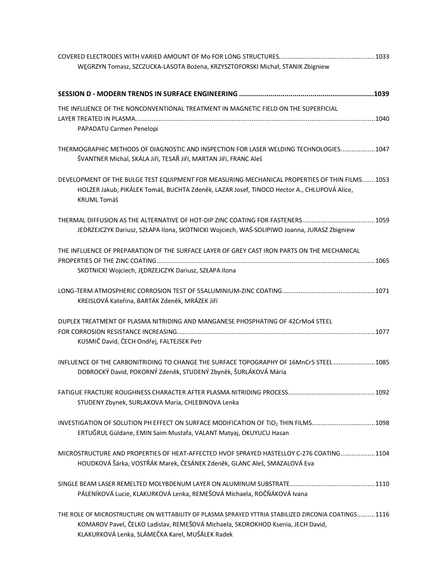| WEGRZYN Tomasz, SZCZUCKA-LASOTA Bożena, KRZYSZTOFORSKI Michał, STANIK Zbigniew |  |
|--------------------------------------------------------------------------------|--|

| THE INFLUENCE OF THE NONCONVENTIONAL TREATMENT IN MAGNETIC FIELD ON THE SUPERFICIAL                                                                                                                                                       |  |
|-------------------------------------------------------------------------------------------------------------------------------------------------------------------------------------------------------------------------------------------|--|
| PAPADATU Carmen Penelopi                                                                                                                                                                                                                  |  |
| THERMOGRAPHIC METHODS OF DIAGNOSTIC AND INSPECTION FOR LASER WELDING TECHNOLOGIES 1047<br>ŠVANTNER Michal, SKÁLA Jiří, TESAŘ Jiří, MARTAN Jiří, FRANC Aleš                                                                                |  |
| DEVELOPMENT OF THE BULGE TEST EQUIPMENT FOR MEASURING MECHANICAL PROPERTIES OF THIN FILMS1053<br>HOLZER Jakub, PIKÁLEK Tomáš, BUCHTA Zdeněk, LAZAR Josef, TINOCO Hector A., CHLUPOVÁ Alice,<br><b>KRUML Tomáš</b>                         |  |
|                                                                                                                                                                                                                                           |  |
| JEDRZEJCZYK Dariusz, SZŁAPA Ilona, SKOTNICKI Wojciech, WAŚ-SOLIPIWO Joanna, JURASZ Zbigniew                                                                                                                                               |  |
| THE INFLUENCE OF PREPARATION OF THE SURFACE LAYER OF GREY CAST IRON PARTS ON THE MECHANICAL<br>SKOTNICKI Wojciech, JĘDRZEJCZYK Dariusz, SZŁAPA Ilona                                                                                      |  |
| KREISLOVÁ Kateřina, BARTÁK Zdeněk, MRÁZEK Jiří                                                                                                                                                                                            |  |
| DUPLEX TREATMENT OF PLASMA NITRIDING AND MANGANESE PHOSPHATING OF 42CrMo4 STEEL<br>KUSMIČ David, ČECH Ondřej, FALTEJSEK Petr                                                                                                              |  |
| INFLUENCE OF THE CARBONITRIDING TO CHANGE THE SURFACE TOPOGRAPHY OF 16MnCr5 STEEL1085<br>DOBROCKÝ David, POKORNÝ Zdeněk, STUDENÝ Zbyněk, ŠURLÁKOVÁ Mária                                                                                  |  |
| STUDENY Zbynek, SURLAKOVA Maria, CHLEBINOVA Lenka                                                                                                                                                                                         |  |
| INVESTIGATION OF SOLUTION PH EFFECT ON SURFACE MODIFICATION OF TIO2 THIN FILMS1098<br>ERTUĞRUL Güldane, EMIN Saim Mustafa, VALANT Matyaj, OKUYUCU Hasan                                                                                   |  |
| MICROSTRUCTURE AND PROPERTIES OF HEAT-AFFECTED HVOF SPRAYED HASTELLOY C-276 COATING1104<br>HOUDKOVÁ Šárka, VOSTŘÁK Marek, ČESÁNEK Zdeněk, GLANC Aleš, SMAZALOVÁ Eva                                                                       |  |
| PÁLENÍKOVÁ Lucie, KLAKURKOVÁ Lenka, REMEŠOVÁ Michaela, ROČŇÁKOVÁ Ivana                                                                                                                                                                    |  |
| THE ROLE OF MICROSTRUCTURE ON WETTABILITY OF PLASMA SPRAYED YTTRIA STABILIZED ZIRCONIA COATINGS1116<br>KOMAROV Pavel, ČELKO Ladislav, REMEŠOVÁ Michaela, SKOROKHOD Ksenia, JECH David,<br>KLAKURKOVÁ Lenka, SLÁMEČKA Karel, MUŠÁLEK Radek |  |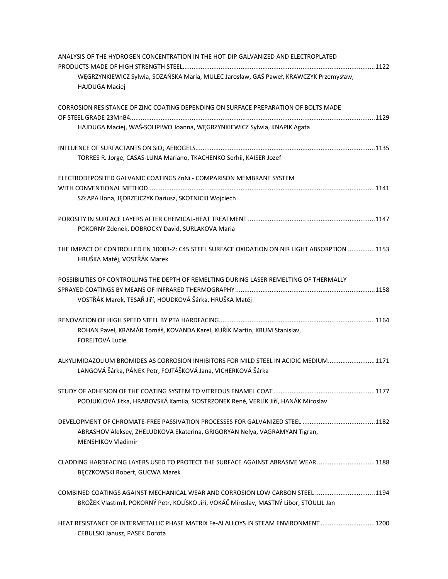| ANALYSIS OF THE HYDROGEN CONCENTRATION IN THE HOT-DIP GALVANIZED AND ELECTROPLATED            |  |
|-----------------------------------------------------------------------------------------------|--|
|                                                                                               |  |
| WĘGRZYNKIEWICZ Sylwia, SOZAŃSKA Maria, MULEC Jarosław, GAŚ Paweł, KRAWCZYK Przemysław,        |  |
| HAJDUGA Maciej                                                                                |  |
|                                                                                               |  |
| CORROSION RESISTANCE OF ZINC COATING DEPENDING ON SURFACE PREPARATION OF BOLTS MADE           |  |
|                                                                                               |  |
| HAJDUGA Maciej, WAŚ-SOLIPIWO Joanna, WĘGRZYNKIEWICZ Sylwia, KNAPIK Agata                      |  |
|                                                                                               |  |
| TORRES R. Jorge, CASAS-LUNA Mariano, TKACHENKO Serhii, KAISER Jozef                           |  |
|                                                                                               |  |
| ELECTRODEPOSITED GALVANIC COATINGS ZnNi - COMPARISON MEMBRANE SYSTEM                          |  |
|                                                                                               |  |
| SZŁAPA Ilona, JĘDRZEJCZYK Dariusz, SKOTNICKI Wojciech                                         |  |
|                                                                                               |  |
| POKORNY Zdenek, DOBROCKY David, SURLAKOVA Maria                                               |  |
|                                                                                               |  |
| THE IMPACT OF CONTROLLED EN 10083-2: C45 STEEL SURFACE OXIDATION ON NIR LIGHT ABSORPTION 1153 |  |
| HRUŠKA Matěj, VOSTŘÁK Marek                                                                   |  |
|                                                                                               |  |
| POSSIBILITIES OF CONTROLLING THE DEPTH OF REMELTING DURING LASER REMELTING OF THERMALLY       |  |
|                                                                                               |  |
| VOSTŘÁK Marek, TESAŘ Jiří, HOUDKOVÁ Šárka, HRUŠKA Matěj                                       |  |
|                                                                                               |  |
|                                                                                               |  |
| ROHAN Pavel, KRAMÁR Tomáš, KOVANDA Karel, KUŘÍK Martin, KRUM Stanislav,                       |  |
| FOREJTOVÁ Lucie                                                                               |  |
|                                                                                               |  |
| ALKYLIMIDAZOLIUM BROMIDES AS CORROSION INHIBITORS FOR MILD STEEL IN ACIDIC MEDIUM1171         |  |
| LANGOVÁ Šárka, PÁNEK Petr, FOJTÁŠKOVÁ Jana, VICHERKOVÁ Šárka                                  |  |
|                                                                                               |  |
| PODJUKLOVÁ Jitka, HRABOVSKÁ Kamila, SIOSTRZONEK René, VERLÍK Jiří, HANÁK Miroslav             |  |
|                                                                                               |  |
|                                                                                               |  |
| ABRASHOV Aleksey, ZHELUDKOVA Ekaterina, GRIGORYAN Nelya, VAGRAMYAN Tigran,                    |  |
| <b>MENSHIKOV Vladimir</b>                                                                     |  |
|                                                                                               |  |
| CLADDING HARDFACING LAYERS USED TO PROTECT THE SURFACE AGAINST ABRASIVE WEAR1188              |  |
| BĘCZKOWSKI Robert, GUCWA Marek                                                                |  |
|                                                                                               |  |
| COMBINED COATINGS AGAINST MECHANICAL WEAR AND CORROSION LOW CARBON STEEL 1194                 |  |
| BROŽEK Vlastimil, POKORNÝ Petr, KOLÍSKO Jiří, VOKÁČ Miroslav, MASTNÝ Libor, STOULIL Jan       |  |
|                                                                                               |  |
| HEAT RESISTANCE OF INTERMETALLIC PHASE MATRIX Fe-AI ALLOYS IN STEAM ENVIRONMENT 1200          |  |
| CEBULSKI Janusz, PASEK Dorota                                                                 |  |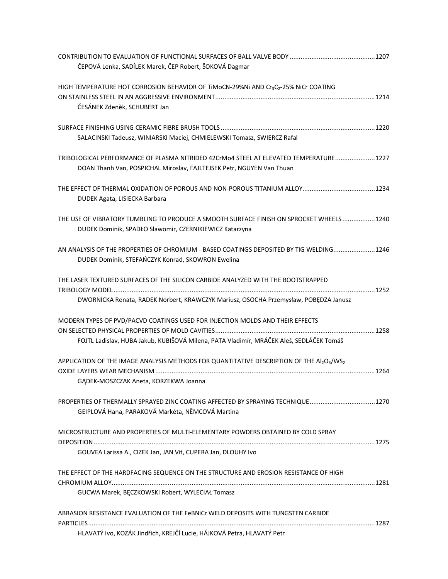| ČEPOVÁ Lenka, SADÍLEK Marek, ČEP Robert, ŠOKOVÁ Dagmar                                                                                                                                  |  |
|-----------------------------------------------------------------------------------------------------------------------------------------------------------------------------------------|--|
| HIGH TEMPERATURE HOT CORROSION BEHAVIOR OF TIMOCN-29%NI AND Cr <sub>3</sub> C <sub>2</sub> -25% NICr COATING<br>ČESÁNEK Zdeněk, SCHUBERT Jan                                            |  |
| SALACINSKI Tadeusz, WINIARSKI Maciej, CHMIELEWSKI Tomasz, SWIERCZ Rafal                                                                                                                 |  |
| TRIBOLOGICAL PERFORMANCE OF PLASMA NITRIDED 42CrMo4 STEEL AT ELEVATED TEMPERATURE 1227<br>DOAN Thanh Van, POSPICHAL Miroslav, FAJLTEJSEK Petr, NGUYEN Van Thuan                         |  |
| DUDEK Agata, LISIECKA Barbara                                                                                                                                                           |  |
| THE USE OF VIBRATORY TUMBLING TO PRODUCE A SMOOTH SURFACE FINISH ON SPROCKET WHEELS 1240<br>DUDEK Dominik, SPADŁO Sławomir, CZERNIKIEWICZ Katarzyna                                     |  |
| AN ANALYSIS OF THE PROPERTIES OF CHROMIUM - BASED COATINGS DEPOSITED BY TIG WELDING1246<br>DUDEK Dominik, STEFAŃCZYK Konrad, SKOWRON Ewelina                                            |  |
| THE LASER TEXTURED SURFACES OF THE SILICON CARBIDE ANALYZED WITH THE BOOTSTRAPPED<br>DWORNICKA Renata, RADEK Norbert, KRAWCZYK Mariusz, OSOCHA Przemysław, POBĘDZA Janusz               |  |
| MODERN TYPES OF PVD/PACVD COATINGS USED FOR INJECTION MOLDS AND THEIR EFFECTS                                                                                                           |  |
| FOJTL Ladislav, HUBA Jakub, KUBIŠOVÁ Milena, PATA Vladimír, MRÁČEK Aleš, SEDLÁČEK Tomáš<br>APPLICATION OF THE IMAGE ANALYSIS METHODS FOR QUANTITATIVE DESCRIPTION OF THE $A1_2O_3/WS_2$ |  |
| GĄDEK-MOSZCZAK Aneta, KORZEKWA Joanna                                                                                                                                                   |  |
| PROPERTIES OF THERMALLY SPRAYED ZINC COATING AFFECTED BY SPRAYING TECHNIQUE1270<br>GEIPLOVÁ Hana, PARAKOVÁ Markéta, NĚMCOVÁ Martina                                                     |  |
| MICROSTRUCTURE AND PROPERTIES OF MULTI-ELEMENTARY POWDERS OBTAINED BY COLD SPRAY<br>GOUVEA Larissa A., CIZEK Jan, JAN Vit, CUPERA Jan, DLOUHY Ivo                                       |  |
| THE EFFECT OF THE HARDFACING SEQUENCE ON THE STRUCTURE AND EROSION RESISTANCE OF HIGH<br>GUCWA Marek, BĘCZKOWSKI Robert, WYLECIAŁ Tomasz                                                |  |
| ABRASION RESISTANCE EVALUATION OF THE FeBNICr WELD DEPOSITS WITH TUNGSTEN CARBIDE<br>HLAVATÝ Ivo, KOZÁK Jindřich, KREJČÍ Lucie, HÁJKOVÁ Petra, HLAVATÝ Petr                             |  |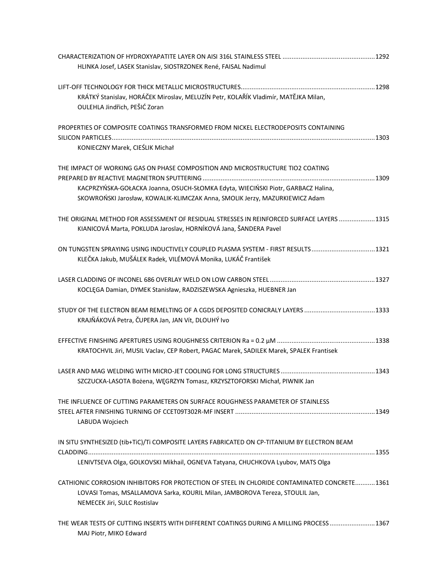| HLINKA Josef, LASEK Stanislav, SIOSTRZONEK René, FAISAL Nadimul                                                   |  |
|-------------------------------------------------------------------------------------------------------------------|--|
|                                                                                                                   |  |
| KRÁTKÝ Stanislav, HORÁČEK Miroslav, MELUZÍN Petr, KOLAŘÍK Vladimír, MATĚJKA Milan,                                |  |
| OULEHLA Jindřich, PEŠIĆ Zoran                                                                                     |  |
| PROPERTIES OF COMPOSITE COATINGS TRANSFORMED FROM NICKEL ELECTRODEPOSITS CONTAINING                               |  |
|                                                                                                                   |  |
| KONIECZNY Marek, CIEŚLIK Michał                                                                                   |  |
| THE IMPACT OF WORKING GAS ON PHASE COMPOSITION AND MICROSTRUCTURE TIO2 COATING                                    |  |
|                                                                                                                   |  |
| KACPRZYŃSKA-GOŁACKA Joanna, OSUCH-SŁOMKA Edyta, WIECIŃSKI Piotr, GARBACZ Halina,                                  |  |
| SKOWROŃSKI Jarosław, KOWALIK-KLIMCZAK Anna, SMOLIK Jerzy, MAZURKIEWICZ Adam                                       |  |
| THE ORIGINAL METHOD FOR ASSESSMENT OF RESIDUAL STRESSES IN REINFORCED SURFACE LAYERS  1315                        |  |
| KIANICOVÁ Marta, POKLUDA Jaroslav, HORNÍKOVÁ Jana, ŠANDERA Pavel                                                  |  |
| ON TUNGSTEN SPRAYING USING INDUCTIVELY COUPLED PLASMA SYSTEM - FIRST RESULTS1321                                  |  |
| KLEČKA Jakub, MUŠÁLEK Radek, VILÉMOVÁ Monika, LUKÁČ František                                                     |  |
|                                                                                                                   |  |
| KOCLĘGA Damian, DYMEK Stanisław, RADZISZEWSKA Agnieszka, HUEBNER Jan                                              |  |
| STUDY OF THE ELECTRON BEAM REMELTING OF A CGDS DEPOSITED CONICRALY LAYERS 1333                                    |  |
| KRAJŇÁKOVÁ Petra, ČUPERA Jan, JAN Vít, DLOUHÝ Ivo                                                                 |  |
|                                                                                                                   |  |
| KRATOCHVIL Jiri, MUSIL Vaclav, CEP Robert, PAGAC Marek, SADILEK Marek, SPALEK Frantisek                           |  |
|                                                                                                                   |  |
| SZCZUCKA-LASOTA Bożena, WĘGRZYN Tomasz, KRZYSZTOFORSKI Michał, PIWNIK Jan                                         |  |
| THE INFLUENCE OF CUTTING PARAMETERS ON SURFACE ROUGHNESS PARAMETER OF STAINLESS                                   |  |
|                                                                                                                   |  |
| LABUDA Wojciech                                                                                                   |  |
| IN SITU SYNTHESIZED (tib+TiC)/Ti COMPOSITE LAYERS FABRICATED ON CP-TITANIUM BY ELECTRON BEAM                      |  |
|                                                                                                                   |  |
| LENIVTSEVA Olga, GOLKOVSKI Mikhail, OGNEVA Tatyana, CHUCHKOVA Lyubov, MATS Olga                                   |  |
| CATHIONIC CORROSION INHIBITORS FOR PROTECTION OF STEEL IN CHLORIDE CONTAMINATED CONCRETE1361                      |  |
| LOVASI Tomas, MSALLAMOVA Sarka, KOURIL Milan, JAMBOROVA Tereza, STOULIL Jan,<br>NEMECEK Jiri, SULC Rostislav      |  |
|                                                                                                                   |  |
| THE WEAR TESTS OF CUTTING INSERTS WITH DIFFERENT COATINGS DURING A MILLING PROCESS 1367<br>MAJ Piotr, MIKO Edward |  |
|                                                                                                                   |  |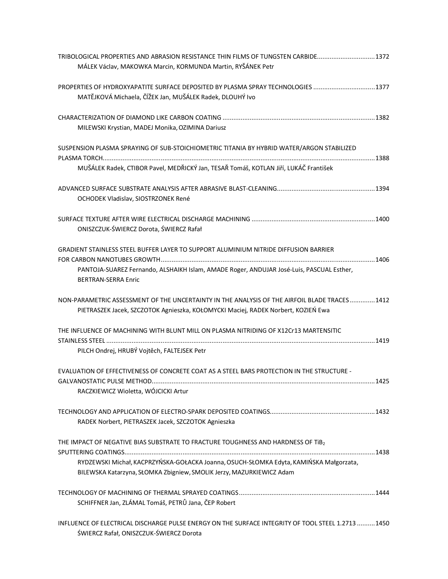| TRIBOLOGICAL PROPERTIES AND ABRASION RESISTANCE THIN FILMS OF TUNGSTEN CARBIDE1372<br>MÁLEK Václav, MAKOWKA Marcin, KORMUNDA Martin, RYŠÁNEK Petr                                                                                                  |  |
|----------------------------------------------------------------------------------------------------------------------------------------------------------------------------------------------------------------------------------------------------|--|
| PROPERTIES OF HYDROXYAPATITE SURFACE DEPOSITED BY PLASMA SPRAY TECHNOLOGIES 1377<br>MATĚJKOVÁ Michaela, ČÍŽEK Jan, MUŠÁLEK Radek, DLOUHÝ Ivo                                                                                                       |  |
| MILEWSKI Krystian, MADEJ Monika, OZIMINA Dariusz                                                                                                                                                                                                   |  |
| SUSPENSION PLASMA SPRAYING OF SUB-STOICHIOMETRIC TITANIA BY HYBRID WATER/ARGON STABILIZED<br>MUŠÁLEK Radek, CTIBOR Pavel, MEDŘICKÝ Jan, TESAŘ Tomáš, KOTLAN Jiří, LUKÁČ František                                                                  |  |
| OCHODEK Vladislav, SIOSTRZONEK René                                                                                                                                                                                                                |  |
| ONISZCZUK-ŚWIERCZ Dorota, ŚWIERCZ Rafał                                                                                                                                                                                                            |  |
| GRADIENT STAINLESS STEEL BUFFER LAYER TO SUPPORT ALUMINIUM NITRIDE DIFFUSION BARRIER<br>PANTOJA-SUAREZ Fernando, ALSHAIKH Islam, AMADE Roger, ANDUJAR José-Luis, PASCUAL Esther,<br><b>BERTRAN-SERRA Enric</b>                                     |  |
| NON-PARAMETRIC ASSESSMENT OF THE UNCERTAINTY IN THE ANALYSIS OF THE AIRFOIL BLADE TRACES1412<br>PIETRASZEK Jacek, SZCZOTOK Agnieszka, KOŁOMYCKI Maciej, RADEK Norbert, KOZIEŃ Ewa                                                                  |  |
| THE INFLUENCE OF MACHINING WITH BLUNT MILL ON PLASMA NITRIDING OF X12Cr13 MARTENSITIC<br>PILCH Ondrej, HRUBÝ Vojtěch, FALTEJSEK Petr                                                                                                               |  |
| EVALUATION OF EFFECTIVENESS OF CONCRETE COAT AS A STEEL BARS PROTECTION IN THE STRUCTURE -<br>RACZKIEWICZ Wioletta, WÓJCICKI Artur                                                                                                                 |  |
| RADEK Norbert, PIETRASZEK Jacek, SZCZOTOK Agnieszka                                                                                                                                                                                                |  |
| THE IMPACT OF NEGATIVE BIAS SUBSTRATE TO FRACTURE TOUGHNESS AND HARDNESS OF TIB2<br>RYDZEWSKI Michał, KACPRZYŃSKA-GOŁACKA Joanna, OSUCH-SŁOMKA Edyta, KAMIŃSKA Małgorzata,<br>BILEWSKA Katarzyna, SŁOMKA Zbigniew, SMOLIK Jerzy, MAZURKIEWICZ Adam |  |
| SCHIFFNER Jan, ZLÁMAL Tomáš, PETRŮ Jana, ČEP Robert                                                                                                                                                                                                |  |
| INFLUENCE OF ELECTRICAL DISCHARGE PULSE ENERGY ON THE SURFACE INTEGRITY OF TOOL STEEL 1.2713  1450<br>ŚWIERCZ Rafał, ONISZCZUK-ŚWIERCZ Dorota                                                                                                      |  |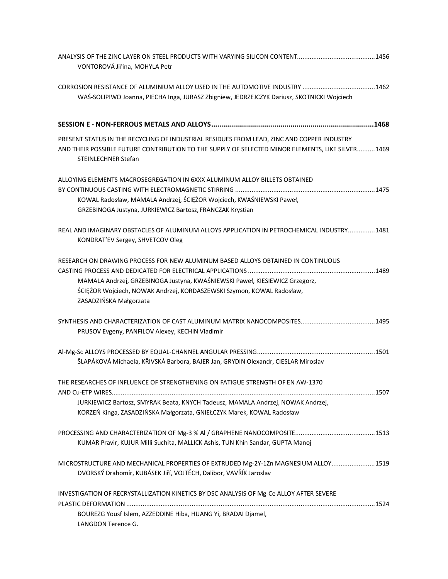| VONTOROVÁ Jiřina, MOHYLA Petr                                                                                                                                                                                                                                      |
|--------------------------------------------------------------------------------------------------------------------------------------------------------------------------------------------------------------------------------------------------------------------|
| CORROSION RESISTANCE OF ALUMINIUM ALLOY USED IN THE AUTOMOTIVE INDUSTRY 1462                                                                                                                                                                                       |
| WAŚ-SOLIPIWO Joanna, PIECHA Inga, JURASZ Zbigniew, JEDRZEJCZYK Dariusz, SKOTNICKI Wojciech                                                                                                                                                                         |
|                                                                                                                                                                                                                                                                    |
| PRESENT STATUS IN THE RECYCLING OF INDUSTRIAL RESIDUES FROM LEAD, ZINC AND COPPER INDUSTRY<br>AND THEIR POSSIBLE FUTURE CONTRIBUTION TO THE SUPPLY OF SELECTED MINOR ELEMENTS, LIKE SILVER1469<br><b>STEINLECHNER Stefan</b>                                       |
| ALLOYING ELEMENTS MACROSEGREGATION IN 6XXX ALUMINUM ALLOY BILLETS OBTAINED                                                                                                                                                                                         |
| KOWAL Radosław, MAMALA Andrzej, ŚCIĘŻOR Wojciech, KWAŚNIEWSKI Paweł,<br>GRZEBINOGA Justyna, JURKIEWICZ Bartosz, FRANCZAK Krystian                                                                                                                                  |
| REAL AND IMAGINARY OBSTACLES OF ALUMINUM ALLOYS APPLICATION IN PETROCHEMICAL INDUSTRY 1481<br>KONDRAT'EV Sergey, SHVETCOV Oleg                                                                                                                                     |
| RESEARCH ON DRAWING PROCESS FOR NEW ALUMINUM BASED ALLOYS OBTAINED IN CONTINUOUS<br>MAMALA Andrzej, GRZEBINOGA Justyna, KWAŚNIEWSKI Paweł, KIESIEWICZ Grzegorz,<br>ŚCIĘŻOR Wojciech, NOWAK Andrzej, KORDASZEWSKI Szymon, KOWAL Radosław,<br>ZASADZIŃSKA Małgorzata |
| PRUSOV Evgeny, PANFILOV Alexey, KECHIN Vladimir                                                                                                                                                                                                                    |
| ŠLAPÁKOVÁ Michaela, KŘIVSKÁ Barbora, BAJER Jan, GRYDIN Olexandr, CIESLAR Miroslav                                                                                                                                                                                  |
| THE RESEARCHES OF INFLUENCE OF STRENGTHENING ON FATIGUE STRENGTH OF EN AW-1370                                                                                                                                                                                     |
| JURKIEWICZ Bartosz, SMYRAK Beata, KNYCH Tadeusz, MAMALA Andrzej, NOWAK Andrzej,<br>KORZEŃ Kinga, ZASADZIŃSKA Małgorzata, GNIEŁCZYK Marek, KOWAL Radosław                                                                                                           |
| KUMAR Pravir, KUJUR Milli Suchita, MALLICK Ashis, TUN Khin Sandar, GUPTA Manoj                                                                                                                                                                                     |
| MICROSTRUCTURE AND MECHANICAL PROPERTIES OF EXTRUDED Mg-2Y-1Zn MAGNESIUM ALLOY 1519<br>DVORSKÝ Drahomír, KUBÁSEK Jiří, VOJTĚCH, Dalibor, VAVŘÍK Jaroslav                                                                                                           |
| INVESTIGATION OF RECRYSTALLIZATION KINETICS BY DSC ANALYSIS OF Mg-Ce ALLOY AFTER SEVERE                                                                                                                                                                            |
|                                                                                                                                                                                                                                                                    |
| BOUREZG Yousf Islem, AZZEDDINE Hiba, HUANG Yi, BRADAI Djamel,<br>LANGDON Terence G.                                                                                                                                                                                |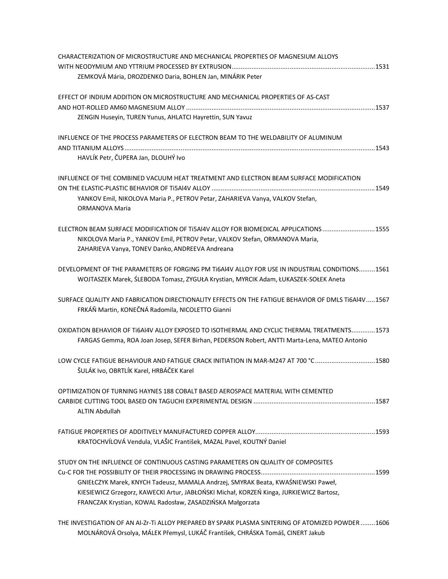| CHARACTERIZATION OF MICROSTRUCTURE AND MECHANICAL PROPERTIES OF MAGNESIUM ALLOYS                                                                                                                                                                                                                                             |
|------------------------------------------------------------------------------------------------------------------------------------------------------------------------------------------------------------------------------------------------------------------------------------------------------------------------------|
| ZEMKOVÁ Mária, DROZDENKO Daria, BOHLEN Jan, MINÁRIK Peter                                                                                                                                                                                                                                                                    |
| EFFECT OF INDIUM ADDITION ON MICROSTRUCTURE AND MECHANICAL PROPERTIES OF AS-CAST                                                                                                                                                                                                                                             |
| ZENGIN Huseyin, TUREN Yunus, AHLATCI Hayrettin, SUN Yavuz                                                                                                                                                                                                                                                                    |
| INFLUENCE OF THE PROCESS PARAMETERS OF ELECTRON BEAM TO THE WELDABILITY OF ALUMINUM                                                                                                                                                                                                                                          |
| HAVLÍK Petr, ČUPERA Jan, DLOUHÝ Ivo                                                                                                                                                                                                                                                                                          |
| INFLUENCE OF THE COMBINED VACUUM HEAT TREATMENT AND ELECTRON BEAM SURFACE MODIFICATION                                                                                                                                                                                                                                       |
| YANKOV Emil, NIKOLOVA Maria P., PETROV Petar, ZAHARIEVA Vanya, VALKOV Stefan,<br><b>ORMANOVA Maria</b>                                                                                                                                                                                                                       |
| ELECTRON BEAM SURFACE MODIFICATION OF TI5AI4V ALLOY FOR BIOMEDICAL APPLICATIONS1555<br>NIKOLOVA Maria P., YANKOV Emil, PETROV Petar, VALKOV Stefan, ORMANOVA Maria,<br>ZAHARIEVA Vanya, TONEV Danko, ANDREEVA Andreana                                                                                                       |
| DEVELOPMENT OF THE PARAMETERS OF FORGING PM TI6AI4V ALLOY FOR USE IN INDUSTRIAL CONDITIONS1561<br>WOJTASZEK Marek, ŚLEBODA Tomasz, ZYGUŁA Krystian, MYRCIK Adam, ŁUKASZEK-SOŁEK Aneta                                                                                                                                        |
| SURFACE QUALITY AND FABRICATION DIRECTIONALITY EFFECTS ON THE FATIGUE BEHAVIOR OF DMLS TI6AI4V1567<br>FRKÁŇ Martin, KONEČNÁ Radomila, NICOLETTO Gianni                                                                                                                                                                       |
| OXIDATION BEHAVIOR OF TI6AI4V ALLOY EXPOSED TO ISOTHERMAL AND CYCLIC THERMAL TREATMENTS 1573<br>FARGAS Gemma, ROA Joan Josep, SEFER Birhan, PEDERSON Robert, ANTTI Marta-Lena, MATEO Antonio                                                                                                                                 |
| LOW CYCLE FATIGUE BEHAVIOUR AND FATIGUE CRACK INITIATION IN MAR-M247 AT 700 °C 1580<br>ŠULÁK Ivo, OBRTLÍK Karel, HRBÁČEK Karel                                                                                                                                                                                               |
| OPTIMIZATION OF TURNING HAYNES 188 COBALT BASED AEROSPACE MATERIAL WITH CEMENTED<br><b>ALTIN Abdullah</b>                                                                                                                                                                                                                    |
| KRATOCHVÍLOVÁ Vendula, VLAŠIC František, MAZAL Pavel, KOUTNÝ Daniel                                                                                                                                                                                                                                                          |
| STUDY ON THE INFLUENCE OF CONTINUOUS CASTING PARAMETERS ON QUALITY OF COMPOSITES<br>GNIEŁCZYK Marek, KNYCH Tadeusz, MAMALA Andrzej, SMYRAK Beata, KWAŚNIEWSKI Paweł,<br>KIESIEWICZ Grzegorz, KAWECKI Artur, JABŁOŃSKI Michał, KORZEŃ Kinga, JURKIEWICZ Bartosz,<br>FRANCZAK Krystian, KOWAL Radosław, ZASADZIŃSKA Małgorzata |

THE INVESTIGATION OF AN Al-Zr-Ti ALLOY PREPARED BY SPARK PLASMA SINTERING OF ATOMIZED POWDER ........1606 MOLNÁROVÁ Orsolya, MÁLEK Přemysl, LUKÁČ František, CHRÁSKA Tomáš, CINERT Jakub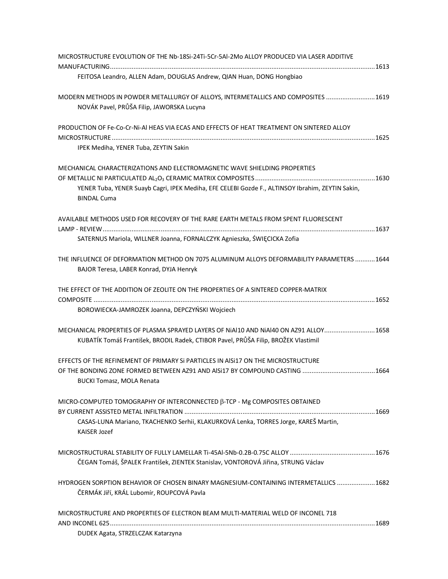| MICROSTRUCTURE EVOLUTION OF THE Nb-18Si-24Ti-5Cr-5AI-2Mo ALLOY PRODUCED VIA LASER ADDITIVE                                         |  |
|------------------------------------------------------------------------------------------------------------------------------------|--|
|                                                                                                                                    |  |
| FEITOSA Leandro, ALLEN Adam, DOUGLAS Andrew, QIAN Huan, DONG Hongbiao                                                              |  |
| MODERN METHODS IN POWDER METALLURGY OF ALLOYS, INTERMETALLICS AND COMPOSITES 1619<br>NOVÁK Pavel, PRŮŠA Filip, JAWORSKA Lucyna     |  |
| PRODUCTION OF Fe-Co-Cr-Ni-Al HEAS VIA ECAS AND EFFECTS OF HEAT TREATMENT ON SINTERED ALLOY                                         |  |
| IPEK Mediha, YENER Tuba, ZEYTIN Sakin                                                                                              |  |
| MECHANICAL CHARACTERIZATIONS AND ELECTROMAGNETIC WAVE SHIELDING PROPERTIES                                                         |  |
|                                                                                                                                    |  |
| YENER Tuba, YENER Suayb Cagri, IPEK Mediha, EFE CELEBI Gozde F., ALTINSOY Ibrahim, ZEYTIN Sakin,<br><b>BINDAL Cuma</b>             |  |
| AVAILABLE METHODS USED FOR RECOVERY OF THE RARE EARTH METALS FROM SPENT FLUORESCENT                                                |  |
| SATERNUS Mariola, WILLNER Joanna, FORNALCZYK Agnieszka, ŚWIĘCICKA Zofia                                                            |  |
| THE INFLUENCE OF DEFORMATION METHOD ON 7075 ALUMINUM ALLOYS DEFORMABILITY PARAMETERS  1644                                         |  |
| BAJOR Teresa, LABER Konrad, DYJA Henryk                                                                                            |  |
| THE EFFECT OF THE ADDITION OF ZEOLITE ON THE PROPERTIES OF A SINTERED COPPER-MATRIX                                                |  |
|                                                                                                                                    |  |
| BOROWIECKA-JAMROZEK Joanna, DEPCZYŃSKI Wojciech                                                                                    |  |
| MECHANICAL PROPERTIES OF PLASMA SPRAYED LAYERS OF NIAI10 AND NIAI40 ON AZ91 ALLOY 1658                                             |  |
| KUBATÍK Tomáš František, BRODIL Radek, CTIBOR Pavel, PRŮŠA Filip, BROŽEK Vlastimil                                                 |  |
| EFFECTS OF THE REFINEMENT OF PRIMARY SI PARTICLES IN AIS117 ON THE MICROSTRUCTURE                                                  |  |
|                                                                                                                                    |  |
| <b>BUCKI Tomasz, MOLA Renata</b>                                                                                                   |  |
| MICRO-COMPUTED TOMOGRAPHY OF INTERCONNECTED B-TCP - Mg COMPOSITES OBTAINED                                                         |  |
|                                                                                                                                    |  |
| CASAS-LUNA Mariano, TKACHENKO Serhii, KLAKURKOVÁ Lenka, TORRES Jorge, KAREŠ Martin,<br>KAISER Jozef                                |  |
|                                                                                                                                    |  |
| ČEGAN Tomáš, ŠPALEK František, ZIENTEK Stanislav, VONTOROVÁ Jiřina, STRUNG Václav                                                  |  |
| HYDROGEN SORPTION BEHAVIOR OF CHOSEN BINARY MAGNESIUM-CONTAINING INTERMETALLICS  1682<br>ČERMÁK Jiří, KRÁL Lubomír, ROUPCOVÁ Pavla |  |
| MICROSTRUCTURE AND PROPERTIES OF ELECTRON BEAM MULTI-MATERIAL WELD OF INCONEL 718                                                  |  |
|                                                                                                                                    |  |
| DUDEK Agata, STRZELCZAK Katarzyna                                                                                                  |  |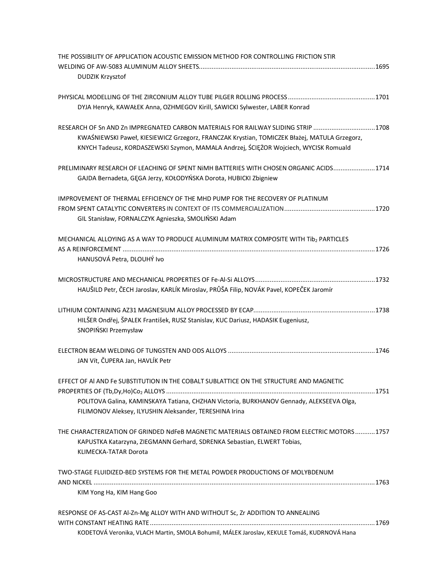| THE POSSIBILITY OF APPLICATION ACOUSTIC EMISSION METHOD FOR CONTROLLING FRICTION STIR                                                                                                |  |
|--------------------------------------------------------------------------------------------------------------------------------------------------------------------------------------|--|
| <b>DUDZIK Krzysztof</b>                                                                                                                                                              |  |
|                                                                                                                                                                                      |  |
| DYJA Henryk, KAWAŁEK Anna, OZHMEGOV Kirill, SAWICKI Sylwester, LABER Konrad                                                                                                          |  |
| RESEARCH OF Sn AND Zn IMPREGNATED CARBON MATERIALS FOR RAILWAY SLIDING STRIP 1708                                                                                                    |  |
| KWAŚNIEWSKI Paweł, KIESIEWICZ Grzegorz, FRANCZAK Krystian, TOMICZEK Błażej, MATULA Grzegorz,<br>KNYCH Tadeusz, KORDASZEWSKI Szymon, MAMALA Andrzej, ŚCIĘŻOR Wojciech, WYCISK Romuald |  |
| PRELIMINARY RESEARCH OF LEACHING OF SPENT NIMH BATTERIES WITH CHOSEN ORGANIC ACIDS1714                                                                                               |  |
| GAJDA Bernadeta, GĘGA Jerzy, KOŁODYŃSKA Dorota, HUBICKI Zbigniew                                                                                                                     |  |
| IMPROVEMENT OF THERMAL EFFICIENCY OF THE MHD PUMP FOR THE RECOVERY OF PLATINUM                                                                                                       |  |
|                                                                                                                                                                                      |  |
| GIL Stanisław, FORNALCZYK Agnieszka, SMOLIŃSKI Adam                                                                                                                                  |  |
| MECHANICAL ALLOYING AS A WAY TO PRODUCE ALUMINUM MATRIX COMPOSITE WITH TIb, PARTICLES                                                                                                |  |
| HANUSOVÁ Petra, DLOUHÝ Ivo                                                                                                                                                           |  |
|                                                                                                                                                                                      |  |
| HAUŠILD Petr, ČECH Jaroslav, KARLÍK Miroslav, PRŮŠA Filip, NOVÁK Pavel, KOPEČEK Jaromír                                                                                              |  |
|                                                                                                                                                                                      |  |
| HILŠER Ondřej, ŠPALEK František, RUSZ Stanislav, KUC Dariusz, HADASIK Eugeniusz,<br>SNOPIŃSKI Przemysław                                                                             |  |
|                                                                                                                                                                                      |  |
| JAN Vít, ČUPERA Jan, HAVLÍK Petr                                                                                                                                                     |  |
| EFFECT OF AI AND Fe SUBSTITUTION IN THE COBALT SUBLATTICE ON THE STRUCTURE AND MAGNETIC                                                                                              |  |
|                                                                                                                                                                                      |  |
| POLITOVA Galina, KAMINSKAYA Tatiana, CHZHAN Victoria, BURKHANOV Gennady, ALEKSEEVA Olga,<br>FILIMONOV Aleksey, ILYUSHIN Aleksander, TERESHINA Irina                                  |  |
| THE CHARACTERIZATION OF GRINDED NdFeB MAGNETIC MATERIALS OBTAINED FROM ELECTRIC MOTORS1757                                                                                           |  |
| KAPUSTKA Katarzyna, ZIEGMANN Gerhard, SDRENKA Sebastian, ELWERT Tobias,<br>KLIMECKA-TATAR Dorota                                                                                     |  |
| TWO-STAGE FLUIDIZED-BED SYSTEMS FOR THE METAL POWDER PRODUCTIONS OF MOLYBDENUM                                                                                                       |  |
| KIM Yong Ha, KIM Hang Goo                                                                                                                                                            |  |
| RESPONSE OF AS-CAST AI-Zn-Mg ALLOY WITH AND WITHOUT Sc, Zr ADDITION TO ANNEALING                                                                                                     |  |
|                                                                                                                                                                                      |  |
| KODETOVÁ Veronika, VLACH Martin, SMOLA Bohumil, MÁLEK Jaroslav, KEKULE Tomáš, KUDRNOVÁ Hana                                                                                          |  |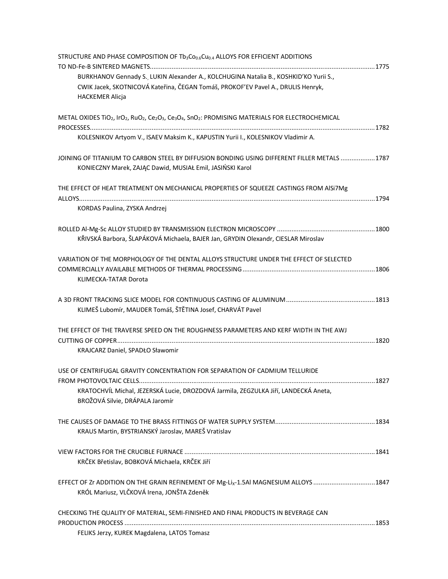| STRUCTURE AND PHASE COMPOSITION OF Tb <sub>3</sub> Co <sub>0.6</sub> Cu <sub>0.4</sub> ALLOYS FOR EFFICIENT ADDITIONS                                                                              |  |
|----------------------------------------------------------------------------------------------------------------------------------------------------------------------------------------------------|--|
|                                                                                                                                                                                                    |  |
| BURKHANOV Gennady S., LUKIN Alexander A., KOLCHUGINA Natalia B., KOSHKID'KO Yurii S.,                                                                                                              |  |
| CWIK Jacek, SKOTNICOVÁ Kateřina, ČEGAN Tomáš, PROKOF'EV Pavel A., DRULIS Henryk,                                                                                                                   |  |
| <b>HACKEMER Alicja</b>                                                                                                                                                                             |  |
|                                                                                                                                                                                                    |  |
| METAL OXIDES TIO <sub>2</sub> , IrO <sub>2</sub> , RuO <sub>2</sub> , Ce <sub>2</sub> O <sub>3</sub> , Ce <sub>3</sub> O <sub>4</sub> , SnO <sub>2</sub> : PROMISING MATERIALS FOR ELECTROCHEMICAL |  |
|                                                                                                                                                                                                    |  |
| KOLESNIKOV Artyom V., ISAEV Maksim K., KAPUSTIN Yurii I., KOLESNIKOV Vladimir A.                                                                                                                   |  |
|                                                                                                                                                                                                    |  |
| JOINING OF TITANIUM TO CARBON STEEL BY DIFFUSION BONDING USING DIFFERENT FILLER METALS 1787                                                                                                        |  |
| KONIECZNY Marek, ZAJĄC Dawid, MUSIAŁ Emil, JASIŃSKI Karol                                                                                                                                          |  |
|                                                                                                                                                                                                    |  |
| THE EFFECT OF HEAT TREATMENT ON MECHANICAL PROPERTIES OF SQUEEZE CASTINGS FROM AISI7Mg                                                                                                             |  |
|                                                                                                                                                                                                    |  |
| KORDAS Paulina, ZYSKA Andrzej                                                                                                                                                                      |  |
|                                                                                                                                                                                                    |  |
|                                                                                                                                                                                                    |  |
| KŘIVSKÁ Barbora, ŠLAPÁKOVÁ Michaela, BAJER Jan, GRYDIN Olexandr, CIESLAR Miroslav                                                                                                                  |  |
|                                                                                                                                                                                                    |  |
|                                                                                                                                                                                                    |  |
| VARIATION OF THE MORPHOLOGY OF THE DENTAL ALLOYS STRUCTURE UNDER THE EFFECT OF SELECTED                                                                                                            |  |
|                                                                                                                                                                                                    |  |
| KLIMECKA-TATAR Dorota                                                                                                                                                                              |  |
|                                                                                                                                                                                                    |  |
|                                                                                                                                                                                                    |  |
| KLIMEŠ Lubomír, MAUDER Tomáš, ŠTĚTINA Josef, CHARVÁT Pavel                                                                                                                                         |  |
|                                                                                                                                                                                                    |  |
| THE EFFECT OF THE TRAVERSE SPEED ON THE ROUGHNESS PARAMETERS AND KERF WIDTH IN THE AWJ                                                                                                             |  |
|                                                                                                                                                                                                    |  |
| KRAJCARZ Daniel, SPADŁO Sławomir                                                                                                                                                                   |  |
|                                                                                                                                                                                                    |  |
| USE OF CENTRIFUGAL GRAVITY CONCENTRATION FOR SEPARATION OF CADMIUM TELLURIDE                                                                                                                       |  |
|                                                                                                                                                                                                    |  |
| KRATOCHVÍL Michal, JEZERSKÁ Lucie, DROZDOVÁ Jarmila, ZEGZULKA Jiří, LANDECKÁ Aneta,                                                                                                                |  |
| BROŽOVÁ Silvie, DRÁPALA Jaromír                                                                                                                                                                    |  |
|                                                                                                                                                                                                    |  |
|                                                                                                                                                                                                    |  |
| KRAUS Martin, BYSTRIANSKÝ Jaroslav, MAREŠ Vratislav                                                                                                                                                |  |
|                                                                                                                                                                                                    |  |
|                                                                                                                                                                                                    |  |
| KRČEK Břetislav, BOBKOVÁ Michaela, KRČEK Jiří                                                                                                                                                      |  |
|                                                                                                                                                                                                    |  |
| EFFECT OF Zr ADDITION ON THE GRAIN REFINEMENT OF Mg-Lix-1.5AI MAGNESIUM ALLOYS 1847                                                                                                                |  |
| KRÓL Mariusz, VLČKOVÁ Irena, JONŠTA Zdeněk                                                                                                                                                         |  |
|                                                                                                                                                                                                    |  |
| CHECKING THE QUALITY OF MATERIAL, SEMI-FINISHED AND FINAL PRODUCTS IN BEVERAGE CAN                                                                                                                 |  |
|                                                                                                                                                                                                    |  |
| FELIKS Jerzy, KUREK Magdalena, LATOS Tomasz                                                                                                                                                        |  |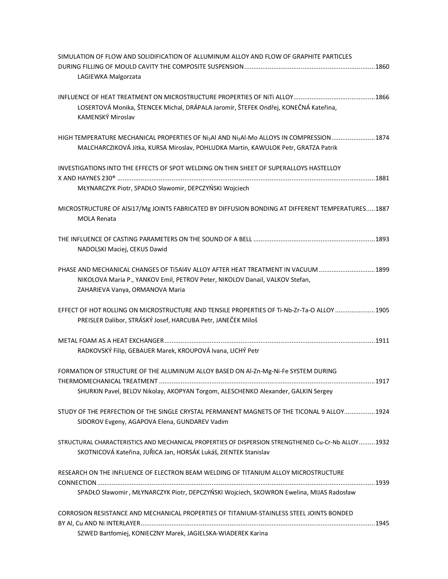| SIMULATION OF FLOW AND SOLIDIFICATION OF ALLUMINUM ALLOY AND FLOW OF GRAPHITE PARTICLES                                                                                                               |
|-------------------------------------------------------------------------------------------------------------------------------------------------------------------------------------------------------|
| LAGIEWKA Malgorzata                                                                                                                                                                                   |
|                                                                                                                                                                                                       |
| LOSERTOVÁ Monika, ŠTENCEK Michal, DRÁPALA Jaromír, ŠTEFEK Ondřej, KONEČNÁ Kateřina,<br>KAMENSKÝ Miroslav                                                                                              |
| HIGH TEMPERATURE MECHANICAL PROPERTIES OF Ni3Al AND Ni3Al-Mo ALLOYS IN COMPRESSION1874<br>MALCHARCZIKOVÁ Jitka, KURSA Miroslav, POHLUDKA Martin, KAWULOK Petr, GRATZA Patrik                          |
| INVESTIGATIONS INTO THE EFFECTS OF SPOT WELDING ON THIN SHEET OF SUPERALLOYS HASTELLOY                                                                                                                |
| MŁYNARCZYK Piotr, SPADŁO Sławomir, DEPCZYŃSKI Wojciech                                                                                                                                                |
| MICROSTRUCTURE OF AISi17/Mg JOINTS FABRICATED BY DIFFUSION BONDING AT DIFFERENT TEMPERATURES1887<br><b>MOLA Renata</b>                                                                                |
| NADOLSKI Maciej, CEKUS Dawid                                                                                                                                                                          |
| PHASE AND MECHANICAL CHANGES OF TI5AI4V ALLOY AFTER HEAT TREATMENT IN VACUUM  1899<br>NIKOLOVA Maria P., YANKOV Emil, PETROV Peter, NIKOLOV Danail, VALKOV Stefan,<br>ZAHARIEVA Vanya, ORMANOVA Maria |
| EFFECT OF HOT ROLLING ON MICROSTRUCTURE AND TENSILE PROPERTIES OF Ti-Nb-Zr-Ta-O ALLOY 1905<br>PREISLER Dalibor, STRÁSKÝ Josef, HARCUBA Petr, JANEČEK Miloš                                            |
|                                                                                                                                                                                                       |
| RADKOVSKÝ Filip, GEBAUER Marek, KROUPOVÁ Ivana, LICHÝ Petr                                                                                                                                            |
| FORMATION OF STRUCTURE OF THE ALUMINUM ALLOY BASED ON Al-Zn-Mg-Ni-Fe SYSTEM DURING                                                                                                                    |
| SHURKIN Pavel, BELOV Nikolay, AKOPYAN Torgom, ALESCHENKO Alexander, GALKIN Sergey                                                                                                                     |
| STUDY OF THE PERFECTION OF THE SINGLE CRYSTAL PERMANENT MAGNETS OF THE TICONAL 9 ALLOY1924<br>SIDOROV Evgeny, AGAPOVA Elena, GUNDAREV Vadim                                                           |
| STRUCTURAL CHARACTERISTICS AND MECHANICAL PROPERTIES OF DISPERSION STRENGTHENED Cu-Cr-Nb ALLOY1932<br>SKOTNICOVÁ Kateřina, JUŘICA Jan, HORSÁK Lukáš, ZIENTEK Stanislav                                |
| RESEARCH ON THE INFLUENCE OF ELECTRON BEAM WELDING OF TITANIUM ALLOY MICROSTRUCTURE                                                                                                                   |
| SPADŁO Sławomir, MŁYNARCZYK Piotr, DEPCZYŃSKI Wojciech, SKOWRON Ewelina, MIJAS Radosław                                                                                                               |
| CORROSION RESISTANCE AND MECHANICAL PROPERTIES OF TITANIUM-STAINLESS STEEL JOINTS BONDED                                                                                                              |
| SZWED Bartłomiej, KONIECZNY Marek, JAGIELSKA-WIADEREK Karina                                                                                                                                          |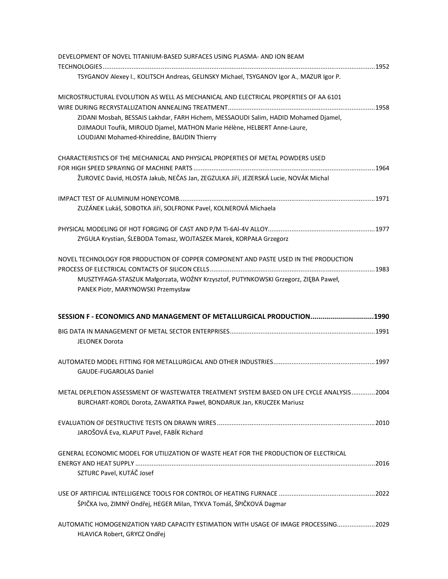| DEVELOPMENT OF NOVEL TITANIUM-BASED SURFACES USING PLASMA- AND ION BEAM                    |  |
|--------------------------------------------------------------------------------------------|--|
|                                                                                            |  |
| TSYGANOV Alexey I., KOLITSCH Andreas, GELINSKY Michael, TSYGANOV Igor A., MAZUR Igor P.    |  |
| MICROSTRUCTURAL EVOLUTION AS WELL AS MECHANICAL AND ELECTRICAL PROPERTIES OF AA 6101       |  |
|                                                                                            |  |
| ZIDANI Mosbah, BESSAIS Lakhdar, FARH Hichem, MESSAOUDI Salim, HADID Mohamed Djamel,        |  |
| DJIMAOUI Toufik, MIROUD Djamel, MATHON Marie Hélène, HELBERT Anne-Laure,                   |  |
| LOUDJANI Mohamed-Khireddine, BAUDIN Thierry                                                |  |
| CHARACTERISTICS OF THE MECHANICAL AND PHYSICAL PROPERTIES OF METAL POWDERS USED            |  |
|                                                                                            |  |
| ŽUROVEC David, HLOSTA Jakub, NEČAS Jan, ZEGZULKA Jiří, JEZERSKÁ Lucie, NOVÁK Michal        |  |
|                                                                                            |  |
| ZUZÁNEK Lukáš, SOBOTKA Jiří, SOLFRONK Pavel, KOLNEROVÁ Michaela                            |  |
|                                                                                            |  |
| ZYGUŁA Krystian, ŚLEBODA Tomasz, WOJTASZEK Marek, KORPAŁA Grzegorz                         |  |
|                                                                                            |  |
| NOVEL TECHNOLOGY FOR PRODUCTION OF COPPER COMPONENT AND PASTE USED IN THE PRODUCTION       |  |
|                                                                                            |  |
| MUSZTYFAGA-STASZUK Małgorzata, WOŹNY Krzysztof, PUTYNKOWSKI Grzegorz, ZIĘBA Paweł,         |  |
| PANEK Piotr, MARYNOWSKI Przemysław                                                         |  |
|                                                                                            |  |
| SESSION F - ECONOMICS AND MANAGEMENT OF METALLURGICAL PRODUCTION1990                       |  |
|                                                                                            |  |
| <b>JELONEK Dorota</b>                                                                      |  |
|                                                                                            |  |
| <b>GAUDE-FUGAROLAS Daniel</b>                                                              |  |
| METAL DEPLETION ASSESSMENT OF WASTEWATER TREATMENT SYSTEM BASED ON LIFE CYCLE ANALYSIS2004 |  |
| BURCHART-KOROL Dorota, ZAWARTKA Paweł, BONDARUK Jan, KRUCZEK Mariusz                       |  |
|                                                                                            |  |
| JAROŠOVÁ Eva, KLAPUT Pavel, FABÍK Richard                                                  |  |
| GENERAL ECONOMIC MODEL FOR UTILIZATION OF WASTE HEAT FOR THE PRODUCTION OF FLECTRICAL      |  |
|                                                                                            |  |
| SZTURC Pavel, KUTÁČ Josef                                                                  |  |
|                                                                                            |  |
| ŠPIČKA Ivo, ZIMNÝ Ondřej, HEGER Milan, TYKVA Tomáš, ŠPIČKOVÁ Dagmar                        |  |
| AUTOMATIC HOMOGENIZATION YARD CAPACITY ESTIMATION WITH USAGE OF IMAGE PROCESSING 2029      |  |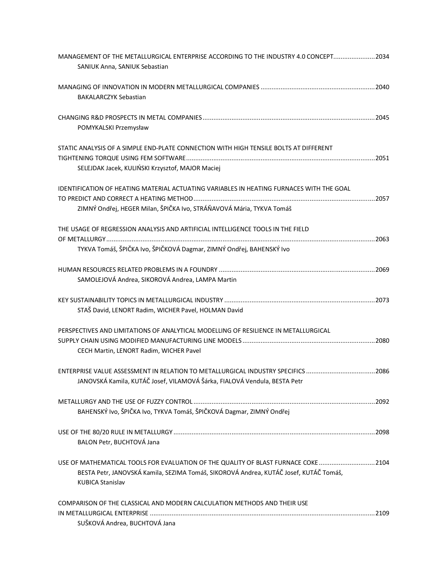| MANAGEMENT OF THE METALLURGICAL ENTERPRISE ACCORDING TO THE INDUSTRY 4.0 CONCEPT2034<br>SANIUK Anna, SANIUK Sebastian                                                                                  |  |
|--------------------------------------------------------------------------------------------------------------------------------------------------------------------------------------------------------|--|
| <b>BAKALARCZYK Sebastian</b>                                                                                                                                                                           |  |
| POMYKALSKI Przemysław                                                                                                                                                                                  |  |
| STATIC ANALYSIS OF A SIMPLE END-PLATE CONNECTION WITH HIGH TENSILE BOLTS AT DIFFERENT<br>SELEJDAK Jacek, KULIŃSKI Krzysztof, MAJOR Maciej                                                              |  |
| IDENTIFICATION OF HEATING MATERIAL ACTUATING VARIABLES IN HEATING FURNACES WITH THE GOAL<br>ZIMNÝ Ondřej, HEGER Milan, ŠPIČKA Ivo, STRÁŇAVOVÁ Mária, TYKVA Tomáš                                       |  |
| THE USAGE OF REGRESSION ANALYSIS AND ARTIFICIAL INTELLIGENCE TOOLS IN THE FIELD<br>TYKVA Tomáš, ŠPIČKA Ivo, ŠPIČKOVÁ Dagmar, ZIMNÝ Ondřej, BAHENSKÝ Ivo                                                |  |
| SAMOLEJOVÁ Andrea, SIKOROVÁ Andrea, LAMPA Martin                                                                                                                                                       |  |
| STAŠ David, LENORT Radim, WICHER Pavel, HOLMAN David                                                                                                                                                   |  |
| PERSPECTIVES AND LIMITATIONS OF ANALYTICAL MODELLING OF RESILIENCE IN METALLURGICAL<br>CECH Martin, LENORT Radim, WICHER Pavel                                                                         |  |
| ENTERPRISE VALUE ASSESSMENT IN RELATION TO METALLURGICAL INDUSTRY SPECIFICS 2086<br>JANOVSKÁ Kamila, KUTÁČ Josef, VILAMOVÁ Šárka, FIALOVÁ Vendula, BESTA Petr                                          |  |
| BAHENSKÝ Ivo, ŠPIČKA Ivo, TYKVA Tomáš, ŠPIČKOVÁ Dagmar, ZIMNÝ Ondřej                                                                                                                                   |  |
| BALON Petr, BUCHTOVÁ Jana                                                                                                                                                                              |  |
| USE OF MATHEMATICAL TOOLS FOR EVALUATION OF THE QUALITY OF BLAST FURNACE COKE 2104<br>BESTA Petr, JANOVSKÁ Kamila, SEZIMA Tomáš, SIKOROVÁ Andrea, KUTÁČ Josef, KUTÁČ Tomáš,<br><b>KUBICA Stanislav</b> |  |
| COMPARISON OF THE CLASSICAL AND MODERN CALCULATION METHODS AND THEIR USE<br>SUŠKOVÁ Andrea, BUCHTOVÁ Jana                                                                                              |  |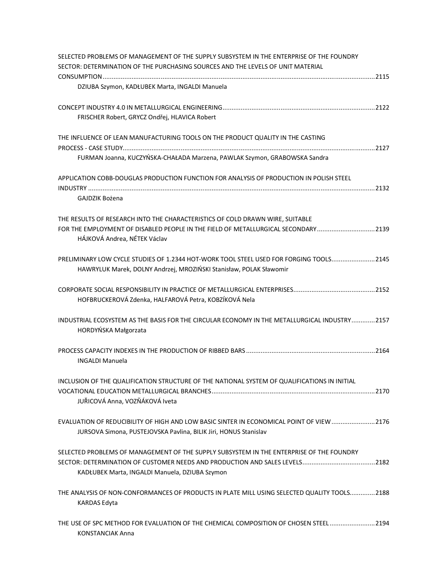| SELECTED PROBLEMS OF MANAGEMENT OF THE SUPPLY SUBSYSTEM IN THE ENTERPRISE OF THE FOUNDRY                                                                     |  |
|--------------------------------------------------------------------------------------------------------------------------------------------------------------|--|
| SECTOR: DETERMINATION OF THE PURCHASING SOURCES AND THE LEVELS OF UNIT MATERIAL                                                                              |  |
|                                                                                                                                                              |  |
| DZIUBA Szymon, KADŁUBEK Marta, INGALDI Manuela                                                                                                               |  |
|                                                                                                                                                              |  |
| FRISCHER Robert, GRYCZ Ondřej, HLAVICA Robert                                                                                                                |  |
| THE INFLUENCE OF LEAN MANUFACTURING TOOLS ON THE PRODUCT QUALITY IN THE CASTING                                                                              |  |
|                                                                                                                                                              |  |
| FURMAN Joanna, KUCZYŃSKA-CHAŁADA Marzena, PAWLAK Szymon, GRABOWSKA Sandra                                                                                    |  |
| APPLICATION COBB-DOUGLAS PRODUCTION FUNCTION FOR ANALYSIS OF PRODUCTION IN POLISH STEEL                                                                      |  |
|                                                                                                                                                              |  |
| GAJDZIK Bożena                                                                                                                                               |  |
| THE RESULTS OF RESEARCH INTO THE CHARACTERISTICS OF COLD DRAWN WIRE, SUITABLE                                                                                |  |
| FOR THE EMPLOYMENT OF DISABLED PEOPLE IN THE FIELD OF METALLURGICAL SECONDARY2139<br>HÁJKOVÁ Andrea, NÉTEK Václav                                            |  |
|                                                                                                                                                              |  |
| PRELIMINARY LOW CYCLE STUDIES OF 1.2344 HOT-WORK TOOL STEEL USED FOR FORGING TOOLS2145<br>HAWRYLUK Marek, DOLNY Andrzej, MROZIŃSKI Stanisław, POLAK Sławomir |  |
|                                                                                                                                                              |  |
| HOFBRUCKEROVÁ Zdenka, HALFAROVÁ Petra, KOBZÍKOVÁ Nela                                                                                                        |  |
| INDUSTRIAL ECOSYSTEM AS THE BASIS FOR THE CIRCULAR ECONOMY IN THE METALLURGICAL INDUSTRY2157<br>HORDYŃSKA Małgorzata                                         |  |
|                                                                                                                                                              |  |
| <b>INGALDI Manuela</b>                                                                                                                                       |  |
| INCLUSION OF THE QUALIFICATION STRUCTURE OF THE NATIONAL SYSTEM OF QUALIFICATIONS IN INITIAL                                                                 |  |
|                                                                                                                                                              |  |
| JUŘICOVÁ Anna, VOZŇÁKOVÁ Iveta                                                                                                                               |  |
| EVALUATION OF REDUCIBILITY OF HIGH AND LOW BASIC SINTER IN ECONOMICAL POINT OF VIEW 2176                                                                     |  |
| JURSOVA Simona, PUSTEJOVSKA Pavlina, BILIK Jiri, HONUS Stanislav                                                                                             |  |
| SELECTED PROBLEMS OF MANAGEMENT OF THE SUPPLY SUBSYSTEM IN THE ENTERPRISE OF THE FOUNDRY                                                                     |  |
| KADŁUBEK Marta, INGALDI Manuela, DZIUBA Szymon                                                                                                               |  |
| THE ANALYSIS OF NON-CONFORMANCES OF PRODUCTS IN PLATE MILL USING SELECTED QUALITY TOOLS2188                                                                  |  |
| <b>KARDAS Edyta</b>                                                                                                                                          |  |
| THE USE OF SPC METHOD FOR EVALUATION OF THE CHEMICAL COMPOSITION OF CHOSEN STEEL2194<br><b>KONSTANCIAK Anna</b>                                              |  |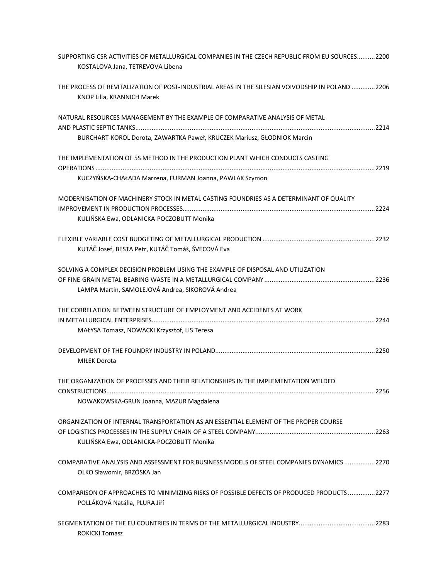| SUPPORTING CSR ACTIVITIES OF METALLURGICAL COMPANIES IN THE CZECH REPUBLIC FROM EU SOURCES2200<br>KOSTALOVA Jana, TETREVOVA Libena                      |  |
|---------------------------------------------------------------------------------------------------------------------------------------------------------|--|
| THE PROCESS OF REVITALIZATION OF POST-INDUSTRIAL AREAS IN THE SILESIAN VOIVODSHIP IN POLAND 2206<br>KNOP Lilla, KRANNICH Marek                          |  |
| NATURAL RESOURCES MANAGEMENT BY THE EXAMPLE OF COMPARATIVE ANALYSIS OF METAL<br>BURCHART-KOROL Dorota, ZAWARTKA Paweł, KRUCZEK Mariusz, GŁODNIOK Marcin |  |
| THE IMPLEMENTATION OF 5S METHOD IN THE PRODUCTION PLANT WHICH CONDUCTS CASTING<br>KUCZYŃSKA-CHAŁADA Marzena, FURMAN Joanna, PAWLAK Szymon               |  |
| MODERNISATION OF MACHINERY STOCK IN METAL CASTING FOUNDRIES AS A DETERMINANT OF QUALITY                                                                 |  |
| KULIŃSKA Ewa, ODLANICKA-POCZOBUTT Monika<br>KUTÁČ Josef, BESTA Petr, KUTÁČ Tomáš, ŠVECOVÁ Eva                                                           |  |
| SOLVING A COMPLEX DECISION PROBLEM USING THE EXAMPLE OF DISPOSAL AND UTILIZATION<br>LAMPA Martin, SAMOLEJOVÁ Andrea, SIKOROVÁ Andrea                    |  |
| THE CORRELATION BETWEEN STRUCTURE OF EMPLOYMENT AND ACCIDENTS AT WORK<br>MAŁYSA Tomasz, NOWACKI Krzysztof, LIS Teresa                                   |  |
| <b>MIŁEK Dorota</b>                                                                                                                                     |  |
| THE ORGANIZATION OF PROCESSES AND THEIR RELATIONSHIPS IN THE IMPLEMENTATION WELDED<br>NOWAKOWSKA-GRUN Joanna, MAZUR Magdalena                           |  |
| ORGANIZATION OF INTERNAL TRANSPORTATION AS AN ESSENTIAL ELEMENT OF THE PROPER COURSE<br>KULIŃSKA Ewa, ODLANICKA-POCZOBUTT Monika                        |  |
| COMPARATIVE ANALYSIS AND ASSESSMENT FOR BUSINESS MODELS OF STEEL COMPANIES DYNAMICS 2270<br>OLKO Sławomir, BRZÓSKA Jan                                  |  |
| COMPARISON OF APPROACHES TO MINIMIZING RISKS OF POSSIBLE DEFECTS OF PRODUCED PRODUCTS2277<br>POLLÁKOVÁ Natália, PLURA Jiří                              |  |
| <b>ROKICKI Tomasz</b>                                                                                                                                   |  |